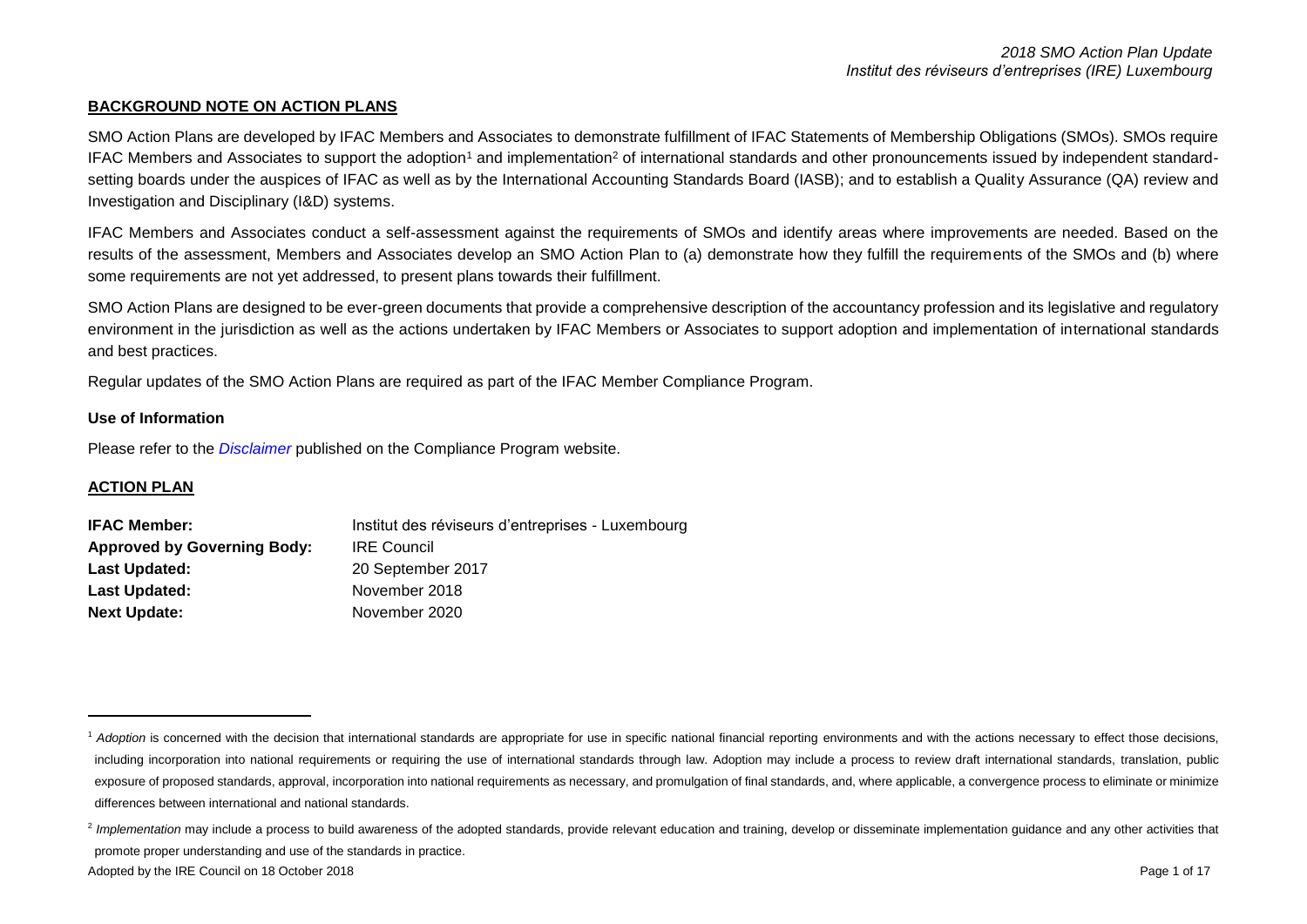### **BACKGROUND NOTE ON ACTION PLANS**

SMO Action Plans are developed by IFAC Members and Associates to demonstrate fulfillment of IFAC Statements of Membership Obligations (SMOs). SMOs require IFAC Members and Associates to support the adoption<sup>1</sup> and implementation<sup>2</sup> of international standards and other pronouncements issued by independent standardsetting boards under the auspices of IFAC as well as by the International Accounting Standards Board (IASB); and to establish a Quality Assurance (QA) review and Investigation and Disciplinary (I&D) systems.

IFAC Members and Associates conduct a self-assessment against the requirements of SMOs and identify areas where improvements are needed. Based on the results of the assessment, Members and Associates develop an SMO Action Plan to (a) demonstrate how they fulfill the requirements of the SMOs and (b) where some requirements are not yet addressed, to present plans towards their fulfillment.

SMO Action Plans are designed to be ever-green documents that provide a comprehensive description of the accountancy profession and its legislative and regulatory environment in the jurisdiction as well as the actions undertaken by IFAC Members or Associates to support adoption and implementation of international standards and best practices.

Regular updates of the SMO Action Plans are required as part of the IFAC Member Compliance Program.

### **Use of Information**

Please refer to the *[Disclaimer](http://www.ifac.org/about-ifac/membership/members/disclaimer)* published on the Compliance Program website.

# **ACTION PLAN**

<u>.</u>

| <b>IFAC Member:</b>                | Institut des réviseurs d'entreprises - Luxembourg |
|------------------------------------|---------------------------------------------------|
| <b>Approved by Governing Body:</b> | <b>IRE Council</b>                                |
| <b>Last Updated:</b>               | 20 September 2017                                 |
| Last Updated:                      | November 2018                                     |
| <b>Next Update:</b>                | November 2020                                     |

<sup>&</sup>lt;sup>1</sup> Adoption is concerned with the decision that international standards are appropriate for use in specific national financial reporting environments and with the actions necessary to effect those decisions, including incorporation into national requirements or requiring the use of international standards through law. Adoption may include a process to review draft international standards, translation, public exposure of proposed standards, approval, incorporation into national requirements as necessary, and promulgation of final standards, and, where applicable, a convergence process to eliminate or minimize differences between international and national standards.

<sup>&</sup>lt;sup>2</sup> Implementation may include a process to build awareness of the adopted standards, provide relevant education and training, develop or disseminate implementation guidance and any other activities that promote proper understanding and use of the standards in practice.

Adopted by the IRE Council on 18 October 2018 **Page 1 of 17** New York 2018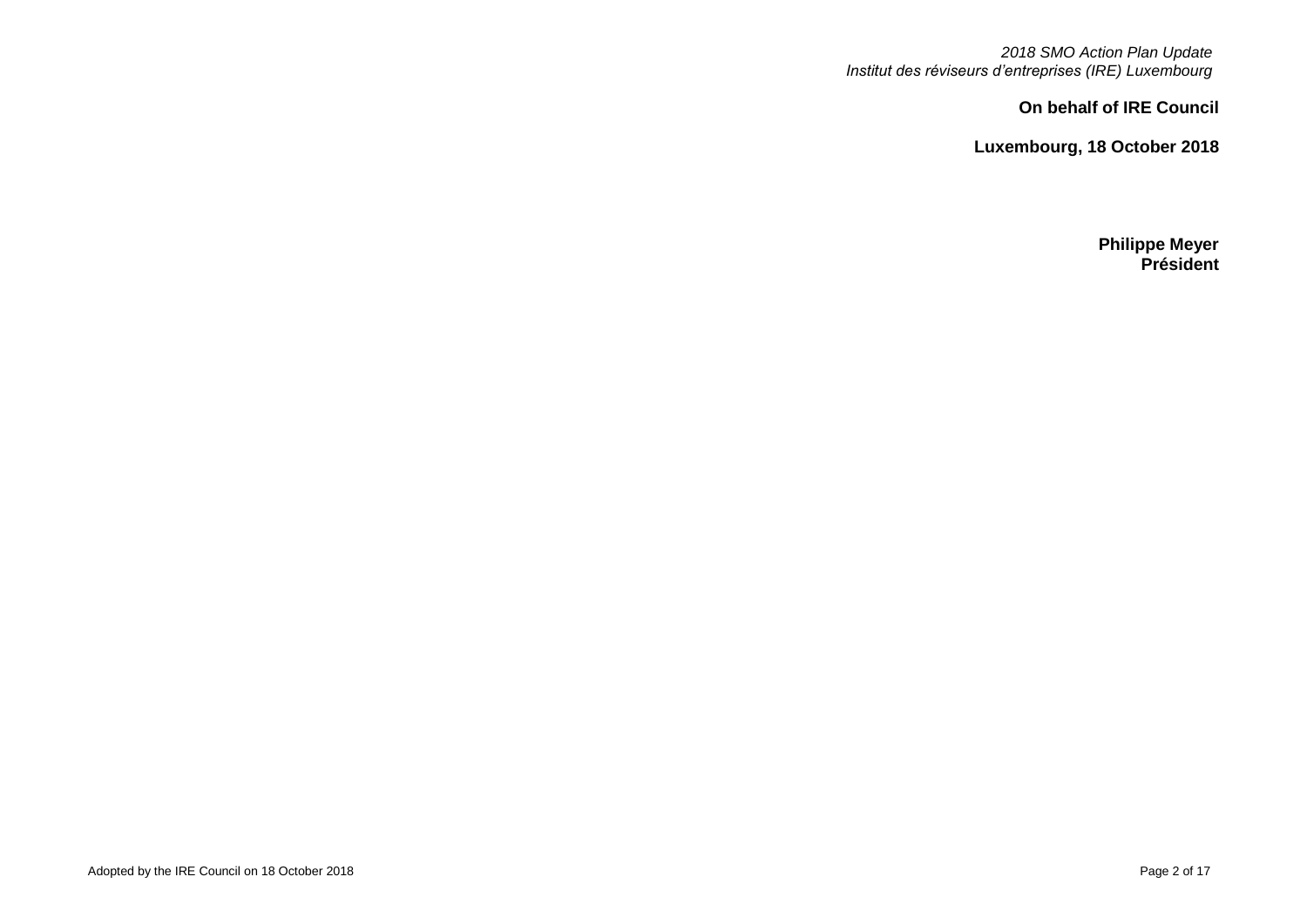*2018 SMO Action Plan Update Institut des réviseurs d'entreprises (IRE) Luxembourg*

**On behalf of IRE Council**

**Luxembourg, 18 October 2018**

**Philippe Meyer Président**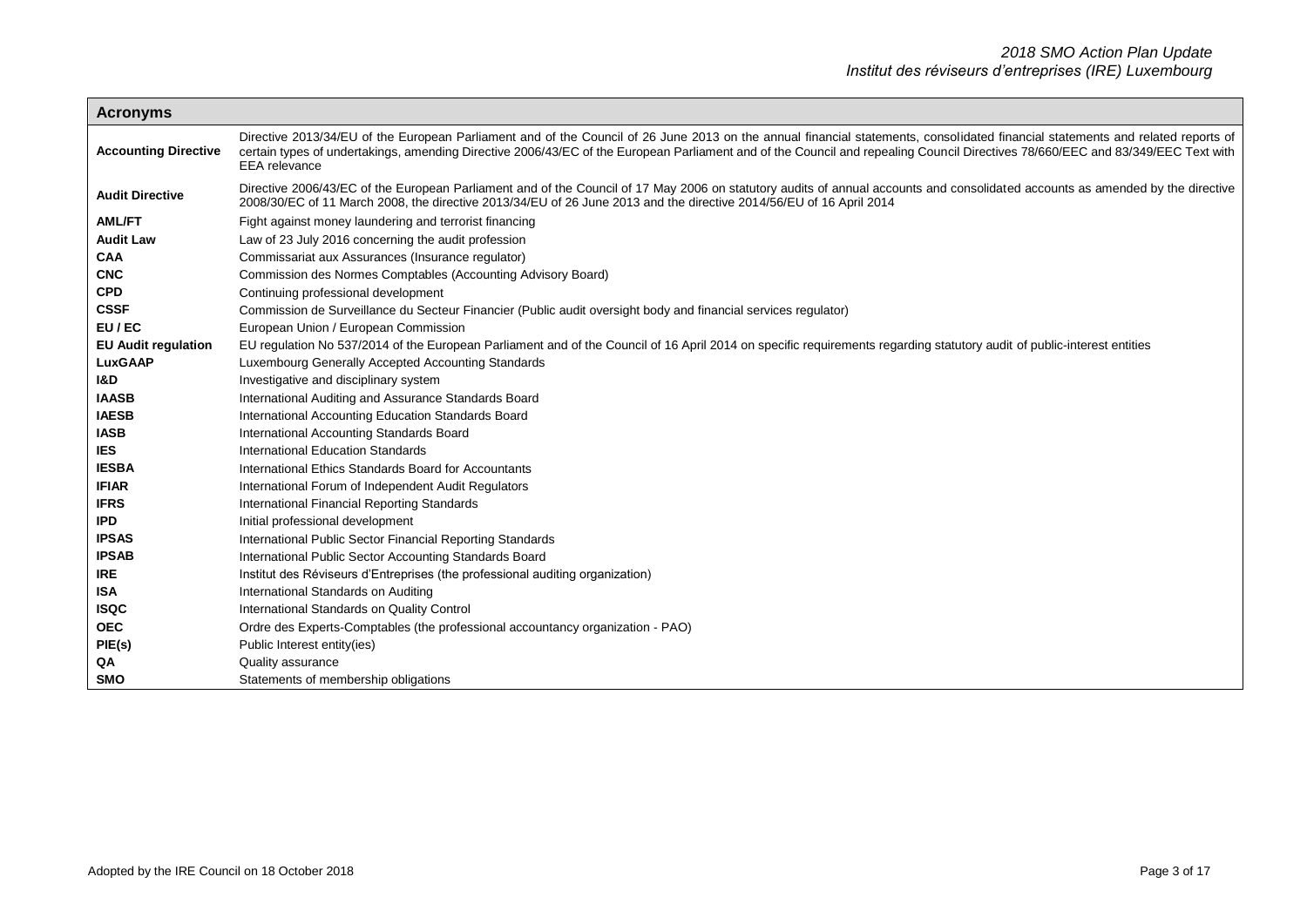| <b>Acronyms</b>             |                                                                                                                                                                                                                                                                                                                                                                                            |
|-----------------------------|--------------------------------------------------------------------------------------------------------------------------------------------------------------------------------------------------------------------------------------------------------------------------------------------------------------------------------------------------------------------------------------------|
| <b>Accounting Directive</b> | Directive 2013/34/EU of the European Parliament and of the Council of 26 June 2013 on the annual financial statements, consolidated financial statements and related reports of<br>certain types of undertakings, amending Directive 2006/43/EC of the European Parliament and of the Council and repealing Council Directives 78/660/EEC and 83/349/EEC Text with<br><b>EEA</b> relevance |
| <b>Audit Directive</b>      | Directive 2006/43/EC of the European Parliament and of the Council of 17 May 2006 on statutory audits of annual accounts and consolidated accounts as amended by the directive<br>2008/30/EC of 11 March 2008, the directive 2013/34/EU of 26 June 2013 and the directive 2014/56/EU of 16 April 2014                                                                                      |
| <b>AML/FT</b>               | Fight against money laundering and terrorist financing                                                                                                                                                                                                                                                                                                                                     |
| <b>Audit Law</b>            | Law of 23 July 2016 concerning the audit profession                                                                                                                                                                                                                                                                                                                                        |
| CAA                         | Commissariat aux Assurances (Insurance regulator)                                                                                                                                                                                                                                                                                                                                          |
| <b>CNC</b>                  | Commission des Normes Comptables (Accounting Advisory Board)                                                                                                                                                                                                                                                                                                                               |
| <b>CPD</b>                  | Continuing professional development                                                                                                                                                                                                                                                                                                                                                        |
| <b>CSSF</b>                 | Commission de Surveillance du Secteur Financier (Public audit oversight body and financial services regulator)                                                                                                                                                                                                                                                                             |
| EU/EC                       | European Union / European Commission                                                                                                                                                                                                                                                                                                                                                       |
| <b>EU Audit regulation</b>  | EU regulation No 537/2014 of the European Parliament and of the Council of 16 April 2014 on specific requirements regarding statutory audit of public-interest entities                                                                                                                                                                                                                    |
| <b>LuxGAAP</b>              | Luxembourg Generally Accepted Accounting Standards                                                                                                                                                                                                                                                                                                                                         |
| <b>I&amp;D</b>              | Investigative and disciplinary system                                                                                                                                                                                                                                                                                                                                                      |
| <b>IAASB</b>                | International Auditing and Assurance Standards Board                                                                                                                                                                                                                                                                                                                                       |
| <b>IAESB</b>                | International Accounting Education Standards Board                                                                                                                                                                                                                                                                                                                                         |
| <b>IASB</b>                 | International Accounting Standards Board                                                                                                                                                                                                                                                                                                                                                   |
| <b>IES</b>                  | International Education Standards                                                                                                                                                                                                                                                                                                                                                          |
| <b>IESBA</b>                | International Ethics Standards Board for Accountants                                                                                                                                                                                                                                                                                                                                       |
| <b>IFIAR</b>                | International Forum of Independent Audit Regulators                                                                                                                                                                                                                                                                                                                                        |
| <b>IFRS</b>                 | International Financial Reporting Standards                                                                                                                                                                                                                                                                                                                                                |
| <b>IPD</b>                  | Initial professional development                                                                                                                                                                                                                                                                                                                                                           |
| <b>IPSAS</b>                | International Public Sector Financial Reporting Standards                                                                                                                                                                                                                                                                                                                                  |
| <b>IPSAB</b>                | International Public Sector Accounting Standards Board                                                                                                                                                                                                                                                                                                                                     |
| <b>IRE</b>                  | Institut des Réviseurs d'Entreprises (the professional auditing organization)                                                                                                                                                                                                                                                                                                              |
| <b>ISA</b>                  | International Standards on Auditing                                                                                                                                                                                                                                                                                                                                                        |
| <b>ISQC</b>                 | International Standards on Quality Control                                                                                                                                                                                                                                                                                                                                                 |
| <b>OEC</b>                  | Ordre des Experts-Comptables (the professional accountancy organization - PAO)                                                                                                                                                                                                                                                                                                             |
| PIE(s)                      | Public Interest entity(ies)                                                                                                                                                                                                                                                                                                                                                                |
| QA                          | Quality assurance                                                                                                                                                                                                                                                                                                                                                                          |
| <b>SMO</b>                  | Statements of membership obligations                                                                                                                                                                                                                                                                                                                                                       |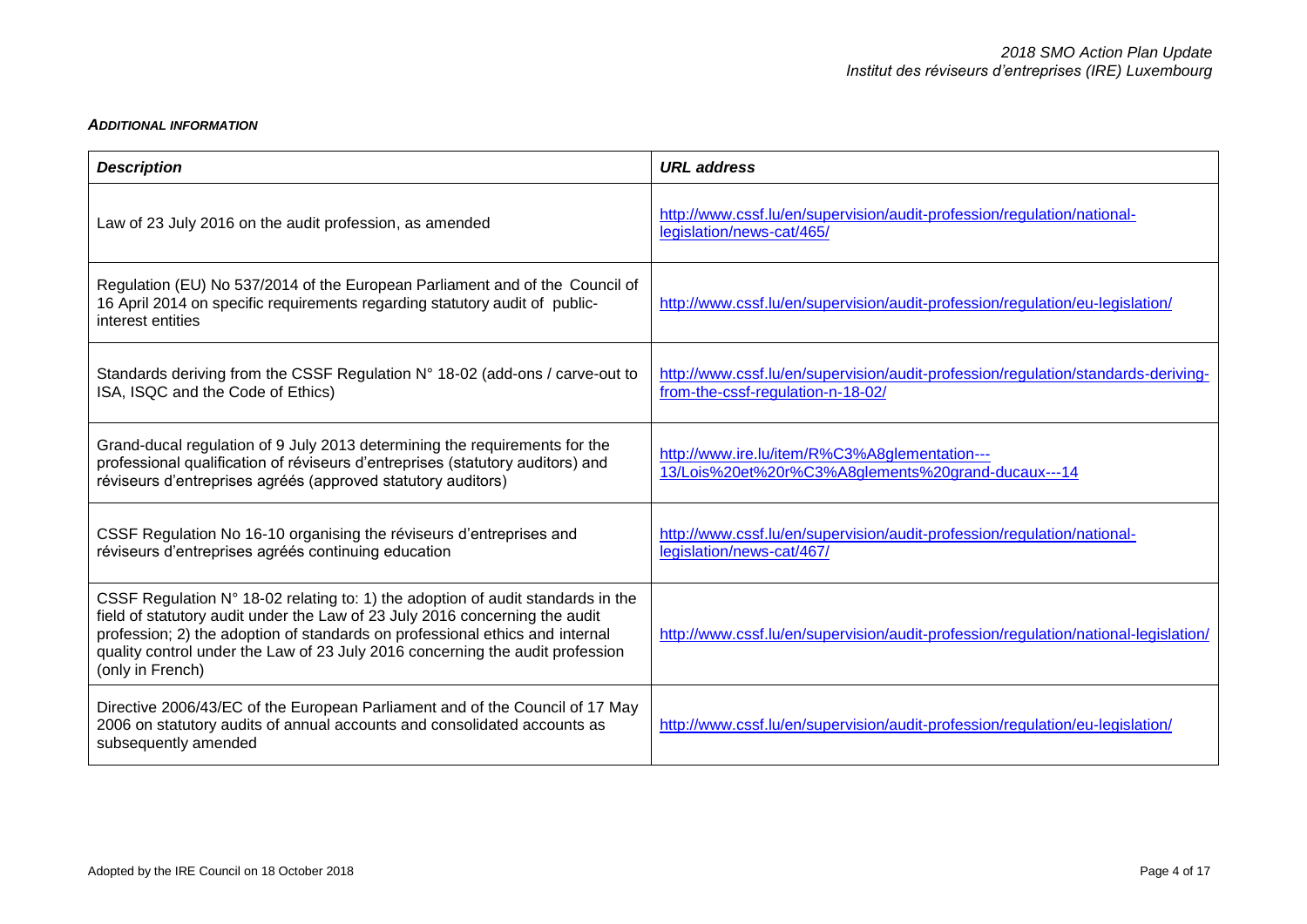### *ADDITIONAL INFORMATION*

| <b>Description</b>                                                                                                                                                                                                                                                                                                                                  | <b>URL</b> address                                                                                                     |
|-----------------------------------------------------------------------------------------------------------------------------------------------------------------------------------------------------------------------------------------------------------------------------------------------------------------------------------------------------|------------------------------------------------------------------------------------------------------------------------|
| Law of 23 July 2016 on the audit profession, as amended                                                                                                                                                                                                                                                                                             | http://www.cssf.lu/en/supervision/audit-profession/regulation/national-<br>legislation/news-cat/465/                   |
| Regulation (EU) No 537/2014 of the European Parliament and of the Council of<br>16 April 2014 on specific requirements regarding statutory audit of public-<br>interest entities                                                                                                                                                                    | http://www.cssf.lu/en/supervision/audit-profession/regulation/eu-legislation/                                          |
| Standards deriving from the CSSF Regulation N° 18-02 (add-ons / carve-out to<br>ISA, ISQC and the Code of Ethics)                                                                                                                                                                                                                                   | http://www.cssf.lu/en/supervision/audit-profession/regulation/standards-deriving-<br>from-the-cssf-regulation-n-18-02/ |
| Grand-ducal regulation of 9 July 2013 determining the requirements for the<br>professional qualification of réviseurs d'entreprises (statutory auditors) and<br>réviseurs d'entreprises agréés (approved statutory auditors)                                                                                                                        | http://www.ire.lu/item/R%C3%A8glementation---<br>13/Lois%20et%20r%C3%A8glements%20grand-ducaux---14                    |
| CSSF Regulation No 16-10 organising the réviseurs d'entreprises and<br>réviseurs d'entreprises agréés continuing education                                                                                                                                                                                                                          | http://www.cssf.lu/en/supervision/audit-profession/regulation/national-<br>legislation/news-cat/467/                   |
| CSSF Regulation N° 18-02 relating to: 1) the adoption of audit standards in the<br>field of statutory audit under the Law of 23 July 2016 concerning the audit<br>profession; 2) the adoption of standards on professional ethics and internal<br>quality control under the Law of 23 July 2016 concerning the audit profession<br>(only in French) | http://www.cssf.lu/en/supervision/audit-profession/regulation/national-legislation/                                    |
| Directive 2006/43/EC of the European Parliament and of the Council of 17 May<br>2006 on statutory audits of annual accounts and consolidated accounts as<br>subsequently amended                                                                                                                                                                    | http://www.cssf.lu/en/supervision/audit-profession/regulation/eu-legislation/                                          |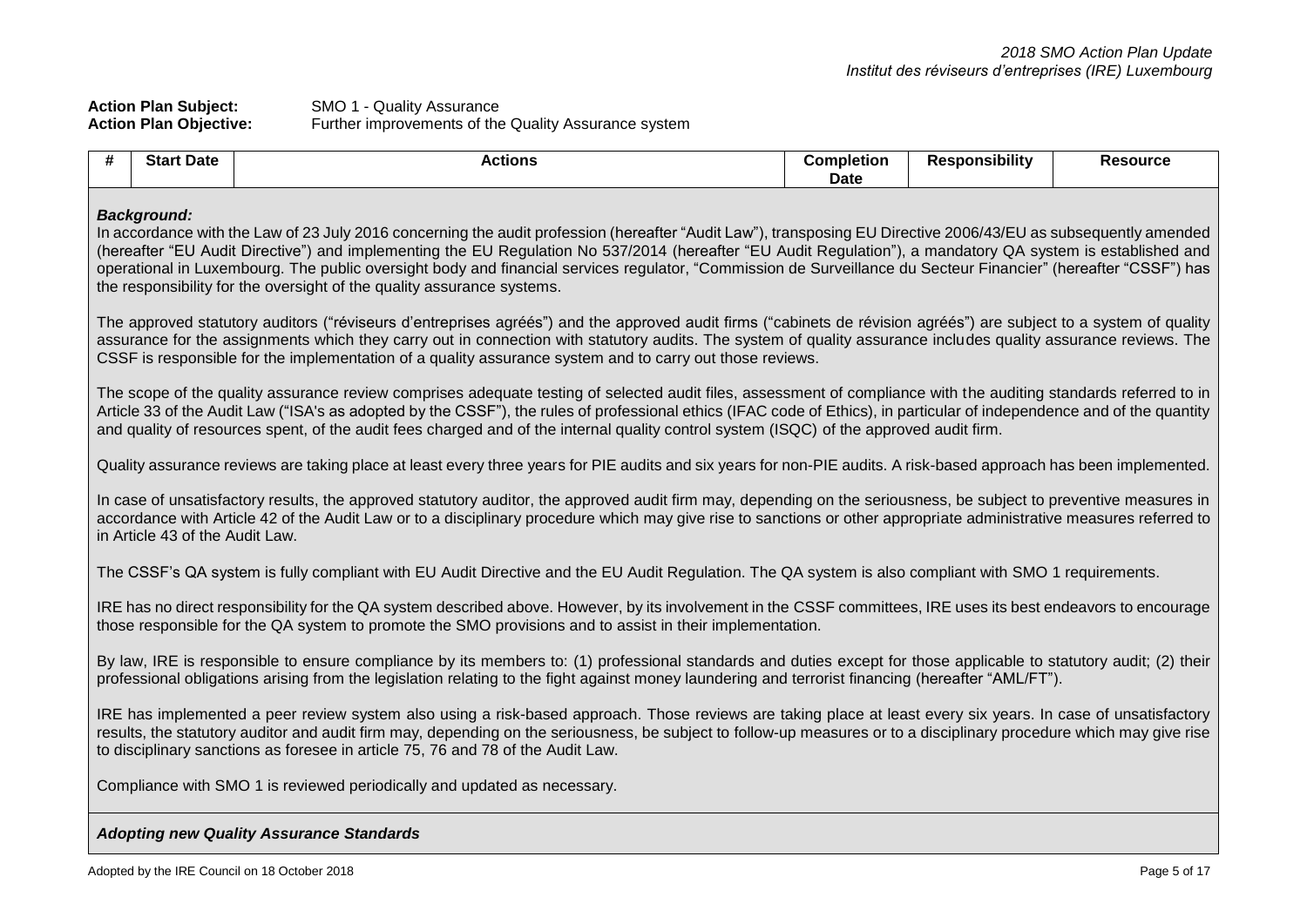| <b>Action Plan Subject:</b>   | SMO 1 - Quality Assurance                            |
|-------------------------------|------------------------------------------------------|
| <b>Action Plan Objective:</b> | Further improvements of the Quality Assurance system |

| # | <b>Start Date</b>                                                                                                                                                                                                                                                                                                                                                                                                                                                                                                                                                                                 | <b>Actions</b>                                                                                                                                                                                                                                                                                                                                                                                                                                                                          | <b>Completion</b><br><b>Date</b> | <b>Responsibility</b> | <b>Resource</b> |  |  |  |
|---|---------------------------------------------------------------------------------------------------------------------------------------------------------------------------------------------------------------------------------------------------------------------------------------------------------------------------------------------------------------------------------------------------------------------------------------------------------------------------------------------------------------------------------------------------------------------------------------------------|-----------------------------------------------------------------------------------------------------------------------------------------------------------------------------------------------------------------------------------------------------------------------------------------------------------------------------------------------------------------------------------------------------------------------------------------------------------------------------------------|----------------------------------|-----------------------|-----------------|--|--|--|
|   | <b>Background:</b><br>In accordance with the Law of 23 July 2016 concerning the audit profession (hereafter "Audit Law"), transposing EU Directive 2006/43/EU as subsequently amended<br>(hereafter "EU Audit Directive") and implementing the EU Regulation No 537/2014 (hereafter "EU Audit Regulation"), a mandatory QA system is established and<br>operational in Luxembourg. The public oversight body and financial services regulator, "Commission de Surveillance du Secteur Financier" (hereafter "CSSF") has<br>the responsibility for the oversight of the quality assurance systems. |                                                                                                                                                                                                                                                                                                                                                                                                                                                                                         |                                  |                       |                 |  |  |  |
|   |                                                                                                                                                                                                                                                                                                                                                                                                                                                                                                                                                                                                   | The approved statutory auditors ("réviseurs d'entreprises agréés") and the approved audit firms ("cabinets de révision agréés") are subject to a system of quality<br>assurance for the assignments which they carry out in connection with statutory audits. The system of quality assurance includes quality assurance reviews. The<br>CSSF is responsible for the implementation of a quality assurance system and to carry out those reviews.                                       |                                  |                       |                 |  |  |  |
|   |                                                                                                                                                                                                                                                                                                                                                                                                                                                                                                                                                                                                   | The scope of the quality assurance review comprises adequate testing of selected audit files, assessment of compliance with the auditing standards referred to in<br>Article 33 of the Audit Law ("ISA's as adopted by the CSSF"), the rules of professional ethics (IFAC code of Ethics), in particular of independence and of the quantity<br>and quality of resources spent, of the audit fees charged and of the internal quality control system (ISQC) of the approved audit firm. |                                  |                       |                 |  |  |  |
|   |                                                                                                                                                                                                                                                                                                                                                                                                                                                                                                                                                                                                   | Quality assurance reviews are taking place at least every three years for PIE audits and six years for non-PIE audits. A risk-based approach has been implemented.                                                                                                                                                                                                                                                                                                                      |                                  |                       |                 |  |  |  |
|   | in Article 43 of the Audit Law.                                                                                                                                                                                                                                                                                                                                                                                                                                                                                                                                                                   | In case of unsatisfactory results, the approved statutory auditor, the approved audit firm may, depending on the seriousness, be subject to preventive measures in<br>accordance with Article 42 of the Audit Law or to a disciplinary procedure which may give rise to sanctions or other appropriate administrative measures referred to                                                                                                                                              |                                  |                       |                 |  |  |  |
|   |                                                                                                                                                                                                                                                                                                                                                                                                                                                                                                                                                                                                   | The CSSF's QA system is fully compliant with EU Audit Directive and the EU Audit Regulation. The QA system is also compliant with SMO 1 requirements.                                                                                                                                                                                                                                                                                                                                   |                                  |                       |                 |  |  |  |
|   | IRE has no direct responsibility for the QA system described above. However, by its involvement in the CSSF committees, IRE uses its best endeavors to encourage<br>those responsible for the QA system to promote the SMO provisions and to assist in their implementation.                                                                                                                                                                                                                                                                                                                      |                                                                                                                                                                                                                                                                                                                                                                                                                                                                                         |                                  |                       |                 |  |  |  |
|   | By law, IRE is responsible to ensure compliance by its members to: (1) professional standards and duties except for those applicable to statutory audit; (2) their<br>professional obligations arising from the legislation relating to the fight against money laundering and terrorist financing (hereafter "AML/FT").                                                                                                                                                                                                                                                                          |                                                                                                                                                                                                                                                                                                                                                                                                                                                                                         |                                  |                       |                 |  |  |  |
|   | IRE has implemented a peer review system also using a risk-based approach. Those reviews are taking place at least every six years. In case of unsatisfactory<br>results, the statutory auditor and audit firm may, depending on the seriousness, be subject to follow-up measures or to a disciplinary procedure which may give rise<br>to disciplinary sanctions as foresee in article 75, 76 and 78 of the Audit Law.                                                                                                                                                                          |                                                                                                                                                                                                                                                                                                                                                                                                                                                                                         |                                  |                       |                 |  |  |  |
|   |                                                                                                                                                                                                                                                                                                                                                                                                                                                                                                                                                                                                   | Compliance with SMO 1 is reviewed periodically and updated as necessary.                                                                                                                                                                                                                                                                                                                                                                                                                |                                  |                       |                 |  |  |  |
|   |                                                                                                                                                                                                                                                                                                                                                                                                                                                                                                                                                                                                   | <b>Adopting new Quality Assurance Standards</b>                                                                                                                                                                                                                                                                                                                                                                                                                                         |                                  |                       |                 |  |  |  |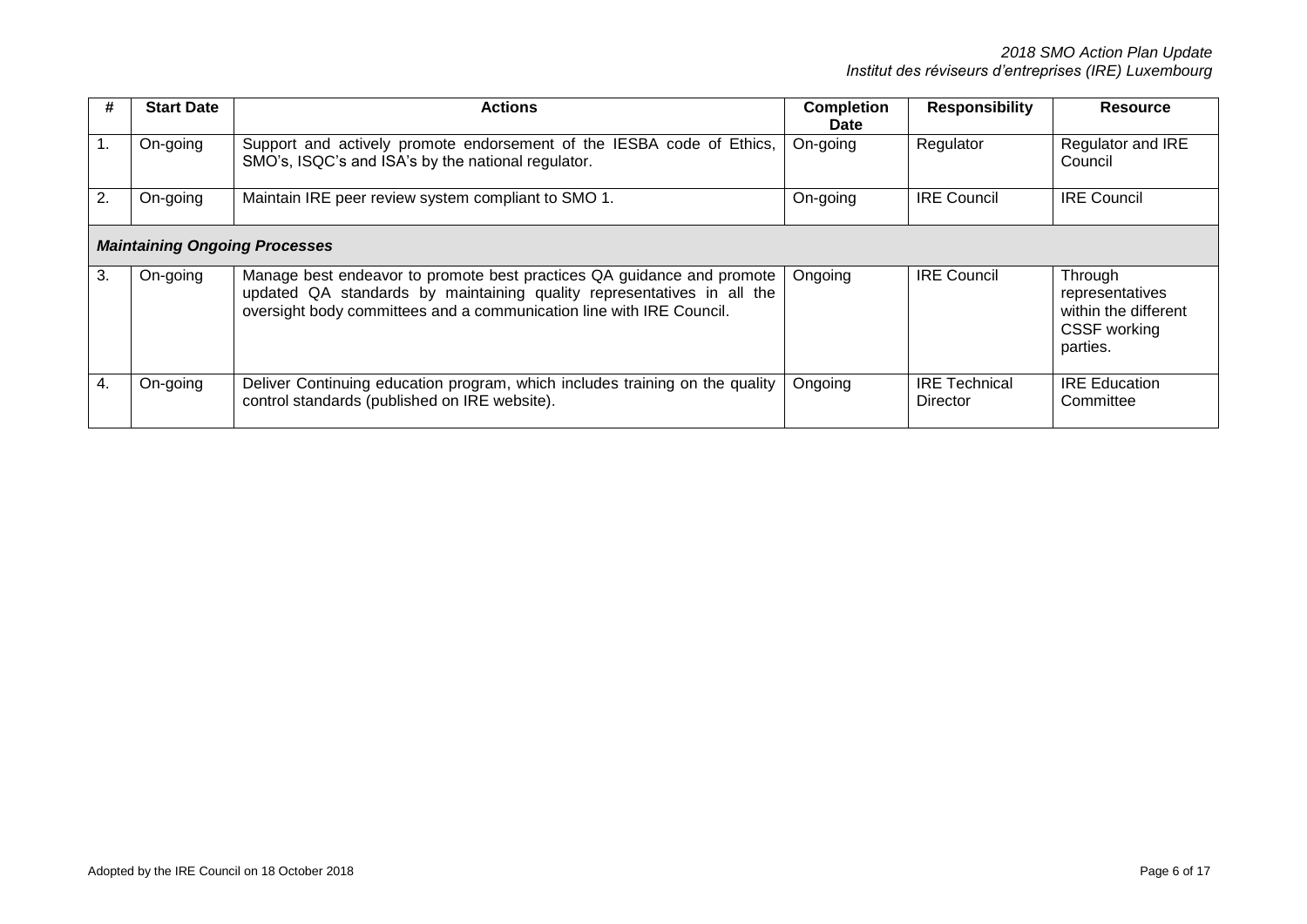| #              | <b>Start Date</b>                    | <b>Actions</b>                                                                                                                                                                                                           | <b>Completion</b><br><b>Date</b> | <b>Responsibility</b>            | <b>Resource</b>                                                                |
|----------------|--------------------------------------|--------------------------------------------------------------------------------------------------------------------------------------------------------------------------------------------------------------------------|----------------------------------|----------------------------------|--------------------------------------------------------------------------------|
| $\mathbf{1}$ . | On-going                             | Support and actively promote endorsement of the IESBA code of Ethics,<br>SMO's, ISQC's and ISA's by the national regulator.                                                                                              | On-going                         | Regulator                        | <b>Regulator and IRE</b><br>Council                                            |
| 2.             | On-going                             | Maintain IRE peer review system compliant to SMO 1.                                                                                                                                                                      | On-going                         | <b>IRE Council</b>               | <b>IRE Council</b>                                                             |
|                | <b>Maintaining Ongoing Processes</b> |                                                                                                                                                                                                                          |                                  |                                  |                                                                                |
| 3.             | On-going                             | Manage best endeavor to promote best practices QA guidance and promote<br>updated QA standards by maintaining quality representatives in all the<br>oversight body committees and a communication line with IRE Council. | Ongoing                          | <b>IRE Council</b>               | Through<br>representatives<br>within the different<br>CSSF working<br>parties. |
| 4.             | On-going                             | Deliver Continuing education program, which includes training on the quality<br>control standards (published on IRE website).                                                                                            | Ongoing                          | <b>IRE Technical</b><br>Director | <b>IRE Education</b><br>Committee                                              |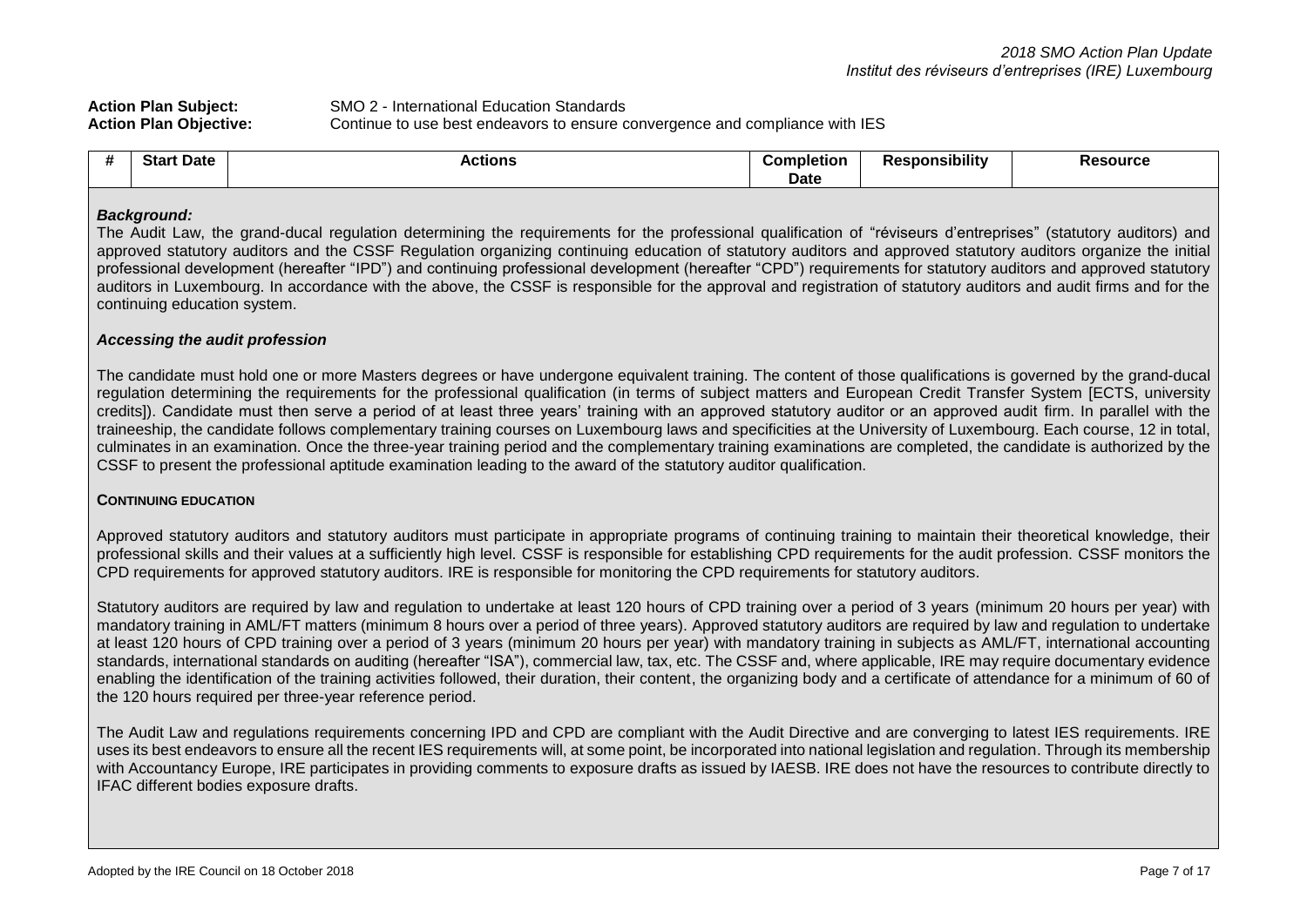| <b>Action Plan Subject:</b>   | SMO 2 - International Education Standards                                    |
|-------------------------------|------------------------------------------------------------------------------|
| <b>Action Plan Objective:</b> | Continue to use best endeavors to ensure convergence and compliance with IES |

| star<br>Date | ----<br>-<br><b>ACTIONS</b><br>. . | uletion<br>ധomr | .<br>oonsibility<br>ĸe. | Resource |
|--------------|------------------------------------|-----------------|-------------------------|----------|
|              |                                    | Date            |                         |          |

#### *Background:*

The Audit Law, the grand-ducal regulation determining the requirements for the professional qualification of "réviseurs d'entreprises" (statutory auditors) and approved statutory auditors and the CSSF Regulation organizing continuing education of statutory auditors and approved statutory auditors organize the initial professional development (hereafter "IPD") and continuing professional development (hereafter "CPD") requirements for statutory auditors and approved statutory auditors in Luxembourg. In accordance with the above, the CSSF is responsible for the approval and registration of statutory auditors and audit firms and for the continuing education system.

#### *Accessing the audit profession*

The candidate must hold one or more Masters degrees or have undergone equivalent training. The content of those qualifications is governed by the grand-ducal regulation determining the requirements for the professional qualification (in terms of subject matters and European Credit Transfer System [ECTS, university credits]). Candidate must then serve a period of at least three years' training with an approved statutory auditor or an approved audit firm. In parallel with the traineeship, the candidate follows complementary training courses on Luxembourg laws and specificities at the University of Luxembourg. Each course, 12 in total, culminates in an examination. Once the three-year training period and the complementary training examinations are completed, the candidate is authorized by the CSSF to present the professional aptitude examination leading to the award of the statutory auditor qualification.

#### **CONTINUING EDUCATION**

Approved statutory auditors and statutory auditors must participate in appropriate programs of continuing training to maintain their theoretical knowledge, their professional skills and their values at a sufficiently high level. CSSF is responsible for establishing CPD requirements for the audit profession. CSSF monitors the CPD requirements for approved statutory auditors. IRE is responsible for monitoring the CPD requirements for statutory auditors.

Statutory auditors are required by law and regulation to undertake at least 120 hours of CPD training over a period of 3 years (minimum 20 hours per year) with mandatory training in AML/FT matters (minimum 8 hours over a period of three years). Approved statutory auditors are required by law and regulation to undertake at least 120 hours of CPD training over a period of 3 years (minimum 20 hours per year) with mandatory training in subjects as AML/FT, international accounting standards, international standards on auditing (hereafter "ISA"), commercial law, tax, etc. The CSSF and, where applicable, IRE may require documentary evidence enabling the identification of the training activities followed, their duration, their content, the organizing body and a certificate of attendance for a minimum of 60 of the 120 hours required per three-year reference period.

The Audit Law and regulations requirements concerning IPD and CPD are compliant with the Audit Directive and are converging to latest IES requirements. IRE uses its best endeavors to ensure all the recent IES requirements will, at some point, be incorporated into national legislation and regulation. Through its membership with Accountancy Europe, IRE participates in providing comments to exposure drafts as issued by IAESB. IRE does not have the resources to contribute directly to IFAC different bodies exposure drafts.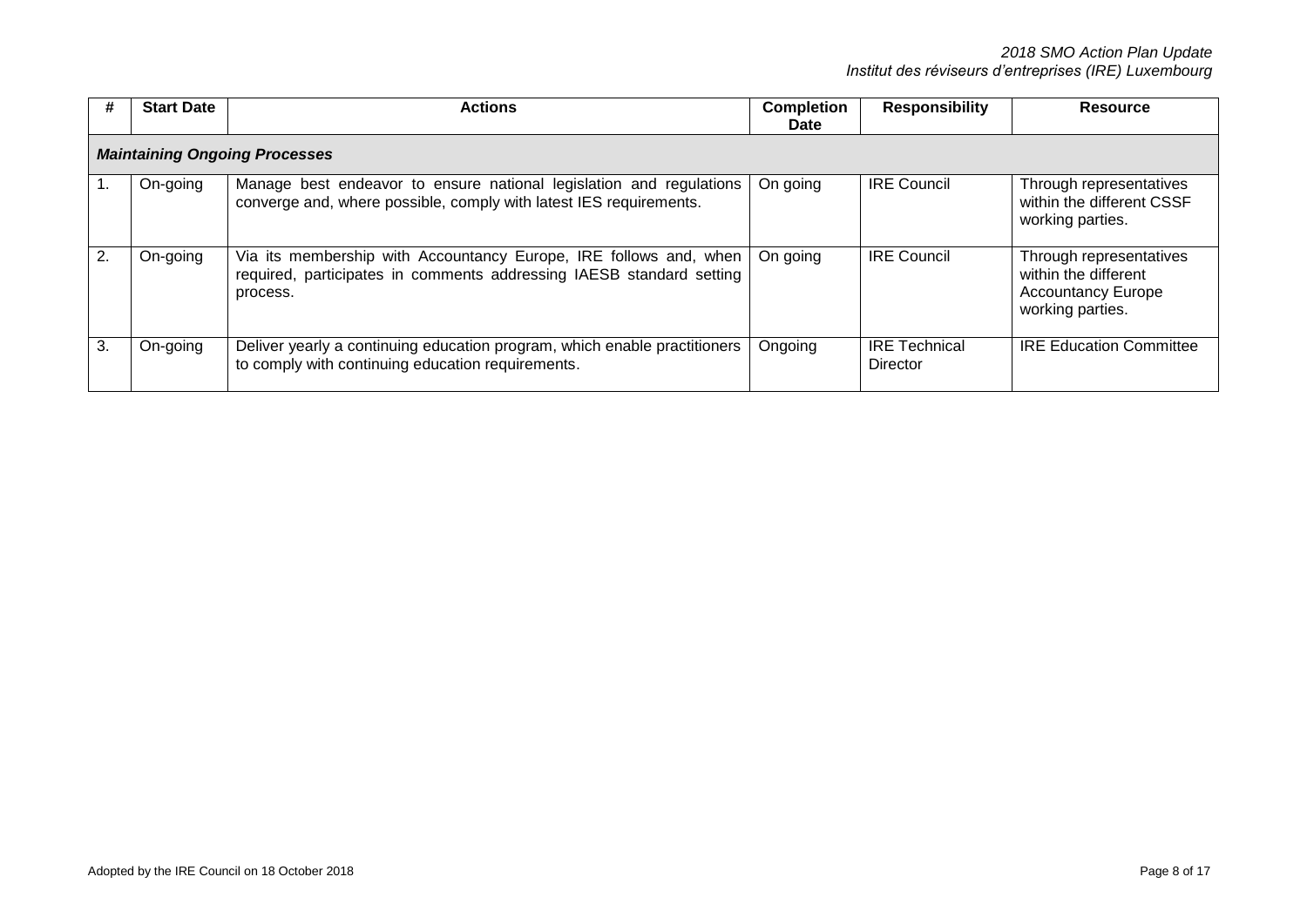| #  | <b>Start Date</b>                    | <b>Actions</b>                                                                                                                                        | <b>Completion</b><br><b>Date</b> | <b>Responsibility</b>            | <b>Resource</b>                                                                                  |  |  |
|----|--------------------------------------|-------------------------------------------------------------------------------------------------------------------------------------------------------|----------------------------------|----------------------------------|--------------------------------------------------------------------------------------------------|--|--|
|    | <b>Maintaining Ongoing Processes</b> |                                                                                                                                                       |                                  |                                  |                                                                                                  |  |  |
|    | On-going                             | Manage best endeavor to ensure national legislation and regulations<br>converge and, where possible, comply with latest IES requirements.             | On going                         | <b>IRE Council</b>               | Through representatives<br>within the different CSSF<br>working parties.                         |  |  |
| 2. | On-going                             | Via its membership with Accountancy Europe, IRE follows and, when<br>required, participates in comments addressing IAESB standard setting<br>process. | On going                         | <b>IRE Council</b>               | Through representatives<br>within the different<br><b>Accountancy Europe</b><br>working parties. |  |  |
| 3. | On-going                             | Deliver yearly a continuing education program, which enable practitioners<br>to comply with continuing education requirements.                        | Ongoing                          | <b>IRE Technical</b><br>Director | <b>IRE Education Committee</b>                                                                   |  |  |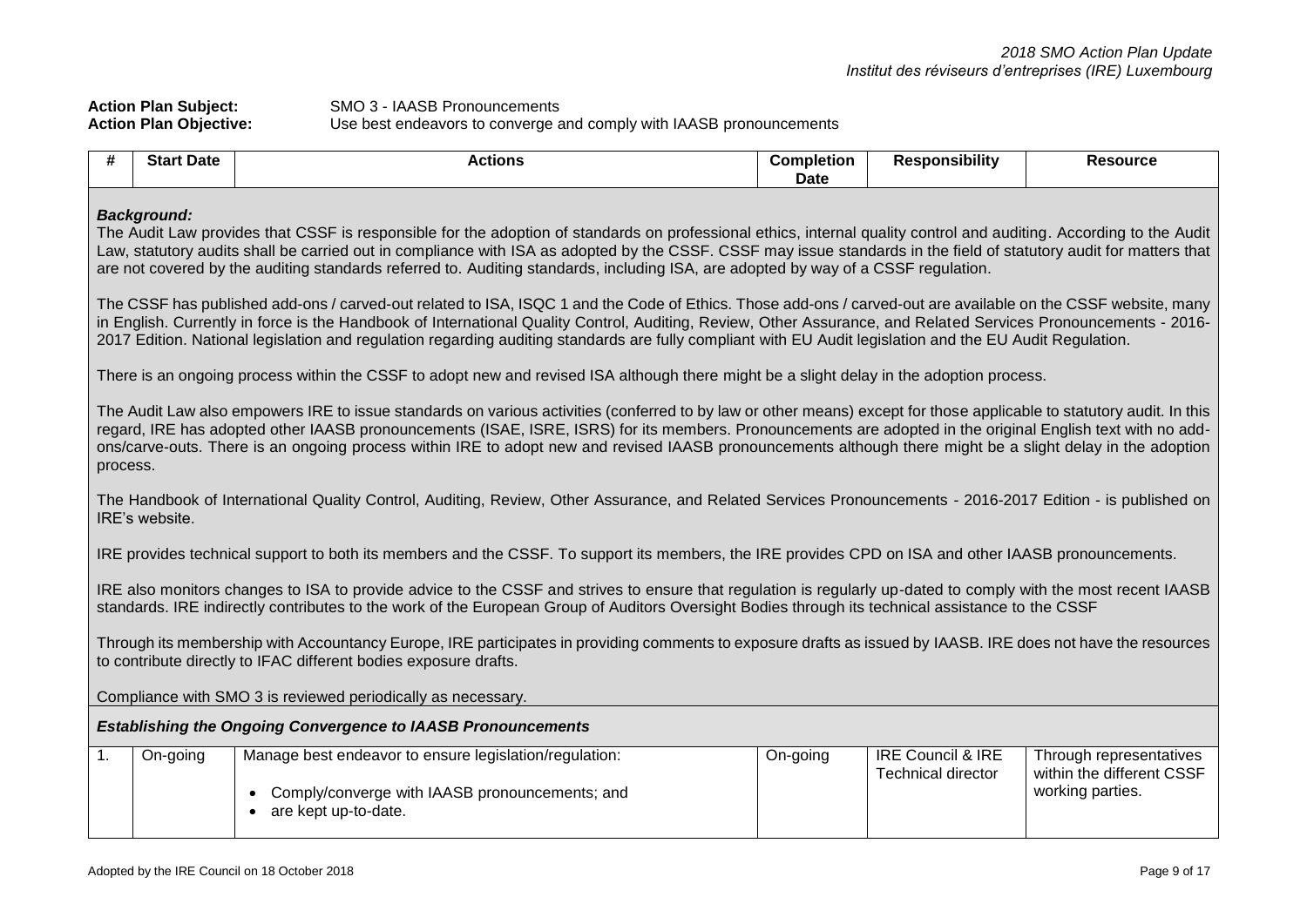| <b>Action Plan Subject:</b>   | SMO 3 - IAASB Pronouncements                                        |
|-------------------------------|---------------------------------------------------------------------|
| <b>Action Plan Objective:</b> | Use best endeavors to converge and comply with IAASB pronouncements |

| #                                                                   | <b>Start Date</b>                                                                                                                                                                                                                                                                                                                                                                                                                                                                                                                                         | <b>Actions</b>                                                                                                                                                                                                                                                                                                                                                                                                                                                                                | <b>Completion</b><br><b>Date</b> | <b>Responsibility</b>                                     | <b>Resource</b>                                                          |  |  |
|---------------------------------------------------------------------|-----------------------------------------------------------------------------------------------------------------------------------------------------------------------------------------------------------------------------------------------------------------------------------------------------------------------------------------------------------------------------------------------------------------------------------------------------------------------------------------------------------------------------------------------------------|-----------------------------------------------------------------------------------------------------------------------------------------------------------------------------------------------------------------------------------------------------------------------------------------------------------------------------------------------------------------------------------------------------------------------------------------------------------------------------------------------|----------------------------------|-----------------------------------------------------------|--------------------------------------------------------------------------|--|--|
|                                                                     | <b>Background:</b><br>The Audit Law provides that CSSF is responsible for the adoption of standards on professional ethics, internal quality control and auditing. According to the Audit<br>Law, statutory audits shall be carried out in compliance with ISA as adopted by the CSSF. CSSF may issue standards in the field of statutory audit for matters that<br>are not covered by the auditing standards referred to. Auditing standards, including ISA, are adopted by way of a CSSF regulation.                                                    |                                                                                                                                                                                                                                                                                                                                                                                                                                                                                               |                                  |                                                           |                                                                          |  |  |
|                                                                     |                                                                                                                                                                                                                                                                                                                                                                                                                                                                                                                                                           | The CSSF has published add-ons / carved-out related to ISA, ISQC 1 and the Code of Ethics. Those add-ons / carved-out are available on the CSSF website, many<br>in English. Currently in force is the Handbook of International Quality Control, Auditing, Review, Other Assurance, and Related Services Pronouncements - 2016-<br>2017 Edition. National legislation and regulation regarding auditing standards are fully compliant with EU Audit legislation and the EU Audit Regulation. |                                  |                                                           |                                                                          |  |  |
|                                                                     |                                                                                                                                                                                                                                                                                                                                                                                                                                                                                                                                                           | There is an ongoing process within the CSSF to adopt new and revised ISA although there might be a slight delay in the adoption process.                                                                                                                                                                                                                                                                                                                                                      |                                  |                                                           |                                                                          |  |  |
|                                                                     | The Audit Law also empowers IRE to issue standards on various activities (conferred to by law or other means) except for those applicable to statutory audit. In this<br>regard, IRE has adopted other IAASB pronouncements (ISAE, ISRE, ISRS) for its members. Pronouncements are adopted in the original English text with no add-<br>ons/carve-outs. There is an ongoing process within IRE to adopt new and revised IAASB pronouncements although there might be a slight delay in the adoption<br>process.                                           |                                                                                                                                                                                                                                                                                                                                                                                                                                                                                               |                                  |                                                           |                                                                          |  |  |
|                                                                     | IRE's website.                                                                                                                                                                                                                                                                                                                                                                                                                                                                                                                                            | The Handbook of International Quality Control, Auditing, Review, Other Assurance, and Related Services Pronouncements - 2016-2017 Edition - is published on                                                                                                                                                                                                                                                                                                                                   |                                  |                                                           |                                                                          |  |  |
|                                                                     |                                                                                                                                                                                                                                                                                                                                                                                                                                                                                                                                                           | IRE provides technical support to both its members and the CSSF. To support its members, the IRE provides CPD on ISA and other IAASB pronouncements.                                                                                                                                                                                                                                                                                                                                          |                                  |                                                           |                                                                          |  |  |
|                                                                     | IRE also monitors changes to ISA to provide advice to the CSSF and strives to ensure that regulation is regularly up-dated to comply with the most recent IAASB<br>standards. IRE indirectly contributes to the work of the European Group of Auditors Oversight Bodies through its technical assistance to the CSSF<br>Through its membership with Accountancy Europe, IRE participates in providing comments to exposure drafts as issued by IAASB. IRE does not have the resources<br>to contribute directly to IFAC different bodies exposure drafts. |                                                                                                                                                                                                                                                                                                                                                                                                                                                                                               |                                  |                                                           |                                                                          |  |  |
|                                                                     | Compliance with SMO 3 is reviewed periodically as necessary.                                                                                                                                                                                                                                                                                                                                                                                                                                                                                              |                                                                                                                                                                                                                                                                                                                                                                                                                                                                                               |                                  |                                                           |                                                                          |  |  |
| <b>Establishing the Ongoing Convergence to IAASB Pronouncements</b> |                                                                                                                                                                                                                                                                                                                                                                                                                                                                                                                                                           |                                                                                                                                                                                                                                                                                                                                                                                                                                                                                               |                                  |                                                           |                                                                          |  |  |
| $\mathbf{1}$ .                                                      | On-going                                                                                                                                                                                                                                                                                                                                                                                                                                                                                                                                                  | Manage best endeavor to ensure legislation/regulation:<br>Comply/converge with IAASB pronouncements; and<br>are kept up-to-date.                                                                                                                                                                                                                                                                                                                                                              | On-going                         | <b>IRE Council &amp; IRE</b><br><b>Technical director</b> | Through representatives<br>within the different CSSF<br>working parties. |  |  |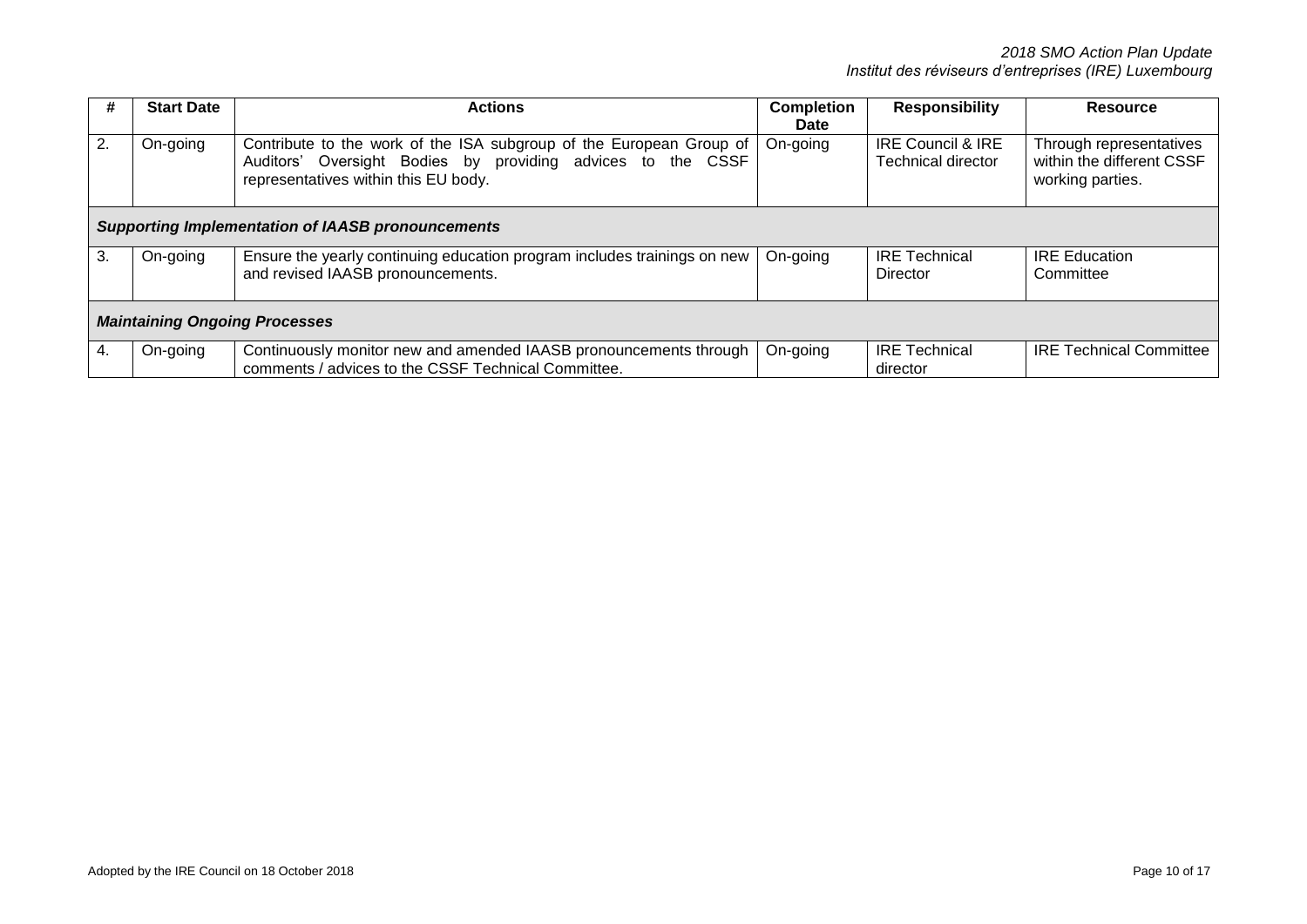| #  | <b>Start Date</b>                                        | <b>Actions</b>                                                                                                                                                             | <b>Completion</b><br><b>Date</b> | <b>Responsibility</b>                          | <b>Resource</b>                                                          |  |
|----|----------------------------------------------------------|----------------------------------------------------------------------------------------------------------------------------------------------------------------------------|----------------------------------|------------------------------------------------|--------------------------------------------------------------------------|--|
| 2. | On-going                                                 | Contribute to the work of the ISA subgroup of the European Group of<br>Auditors' Oversight Bodies by providing advices to the CSSF<br>representatives within this EU body. | On-going                         | IRE Council & IRE<br><b>Technical director</b> | Through representatives<br>within the different CSSF<br>working parties. |  |
|    | <b>Supporting Implementation of IAASB pronouncements</b> |                                                                                                                                                                            |                                  |                                                |                                                                          |  |
| 3. | On-going                                                 | Ensure the yearly continuing education program includes trainings on new<br>and revised IAASB pronouncements.                                                              | On-going                         | <b>IRE Technical</b><br>Director               | <b>IRE Education</b><br>Committee                                        |  |
|    | <b>Maintaining Ongoing Processes</b>                     |                                                                                                                                                                            |                                  |                                                |                                                                          |  |
|    | On-going                                                 | Continuously monitor new and amended IAASB pronouncements through<br>comments / advices to the CSSF Technical Committee.                                                   | On-going                         | <b>IRE Technical</b><br>director               | <b>IRE Technical Committee</b>                                           |  |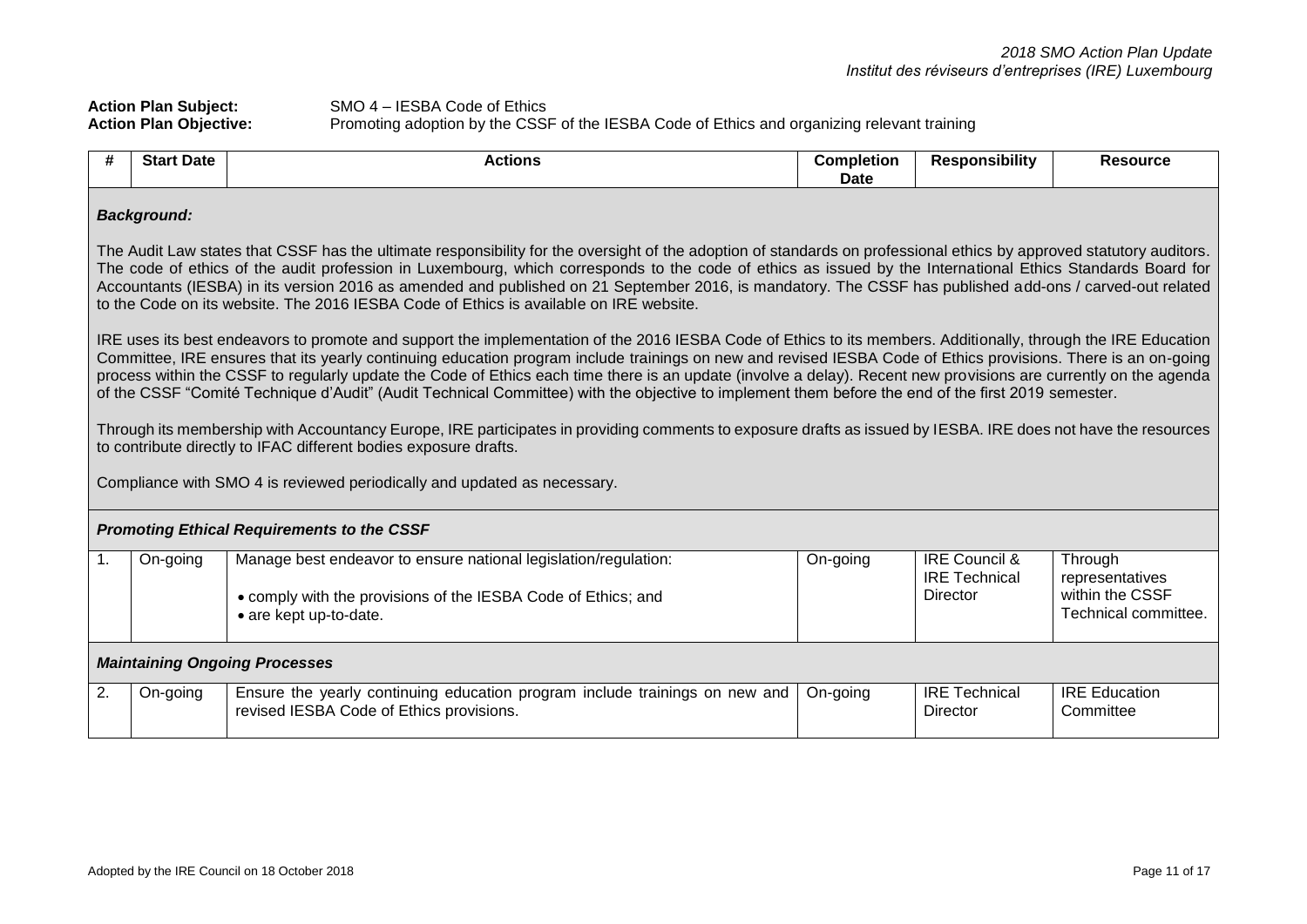# Action Plan Subject:<br>Action Plan Objective:<br>Promoting adoption by the CSSI **Action Plan Objective:** Promoting adoption by the CSSF of the IESBA Code of Ethics and organizing relevant training

| #                                                                                                                                                                                                                                                                                                                                                                                                                                                                                                                                                                                                                                                                                                                                                                                                                                                                                                                                                                                                                                                                                                                                                                                                                                                                             | <b>Start Date</b>                                                                                                                                                                                                                                                                                                           | <b>Actions</b>                                                                                                          | <b>Completion</b><br>Date | <b>Responsibility</b>            | <b>Resource</b>                   |  |  |
|-------------------------------------------------------------------------------------------------------------------------------------------------------------------------------------------------------------------------------------------------------------------------------------------------------------------------------------------------------------------------------------------------------------------------------------------------------------------------------------------------------------------------------------------------------------------------------------------------------------------------------------------------------------------------------------------------------------------------------------------------------------------------------------------------------------------------------------------------------------------------------------------------------------------------------------------------------------------------------------------------------------------------------------------------------------------------------------------------------------------------------------------------------------------------------------------------------------------------------------------------------------------------------|-----------------------------------------------------------------------------------------------------------------------------------------------------------------------------------------------------------------------------------------------------------------------------------------------------------------------------|-------------------------------------------------------------------------------------------------------------------------|---------------------------|----------------------------------|-----------------------------------|--|--|
| <b>Background:</b><br>The Audit Law states that CSSF has the ultimate responsibility for the oversight of the adoption of standards on professional ethics by approved statutory auditors.<br>The code of ethics of the audit profession in Luxembourg, which corresponds to the code of ethics as issued by the International Ethics Standards Board for<br>Accountants (IESBA) in its version 2016 as amended and published on 21 September 2016, is mandatory. The CSSF has published add-ons / carved-out related<br>to the Code on its website. The 2016 IESBA Code of Ethics is available on IRE website.<br>IRE uses its best endeavors to promote and support the implementation of the 2016 IESBA Code of Ethics to its members. Additionally, through the IRE Education<br>Committee, IRE ensures that its yearly continuing education program include trainings on new and revised IESBA Code of Ethics provisions. There is an on-going<br>process within the CSSF to regularly update the Code of Ethics each time there is an update (involve a delay). Recent new provisions are currently on the agenda<br>of the CSSF "Comité Technique d'Audit" (Audit Technical Committee) with the objective to implement them before the end of the first 2019 semester. |                                                                                                                                                                                                                                                                                                                             |                                                                                                                         |                           |                                  |                                   |  |  |
|                                                                                                                                                                                                                                                                                                                                                                                                                                                                                                                                                                                                                                                                                                                                                                                                                                                                                                                                                                                                                                                                                                                                                                                                                                                                               | Through its membership with Accountancy Europe, IRE participates in providing comments to exposure drafts as issued by IESBA. IRE does not have the resources<br>to contribute directly to IFAC different bodies exposure drafts.<br>Compliance with SMO 4 is reviewed periodically and updated as necessary.               |                                                                                                                         |                           |                                  |                                   |  |  |
|                                                                                                                                                                                                                                                                                                                                                                                                                                                                                                                                                                                                                                                                                                                                                                                                                                                                                                                                                                                                                                                                                                                                                                                                                                                                               |                                                                                                                                                                                                                                                                                                                             | <b>Promoting Ethical Requirements to the CSSF</b>                                                                       |                           |                                  |                                   |  |  |
| 1.                                                                                                                                                                                                                                                                                                                                                                                                                                                                                                                                                                                                                                                                                                                                                                                                                                                                                                                                                                                                                                                                                                                                                                                                                                                                            | <b>IRE Council &amp;</b><br>Manage best endeavor to ensure national legislation/regulation:<br>On-going<br>Through<br>On-going<br><b>IRE Technical</b><br>representatives<br>within the CSSF<br>Director<br>• comply with the provisions of the IESBA Code of Ethics; and<br>Technical committee.<br>• are kept up-to-date. |                                                                                                                         |                           |                                  |                                   |  |  |
|                                                                                                                                                                                                                                                                                                                                                                                                                                                                                                                                                                                                                                                                                                                                                                                                                                                                                                                                                                                                                                                                                                                                                                                                                                                                               | <b>Maintaining Ongoing Processes</b>                                                                                                                                                                                                                                                                                        |                                                                                                                         |                           |                                  |                                   |  |  |
| 2.                                                                                                                                                                                                                                                                                                                                                                                                                                                                                                                                                                                                                                                                                                                                                                                                                                                                                                                                                                                                                                                                                                                                                                                                                                                                            | On-going                                                                                                                                                                                                                                                                                                                    | Ensure the yearly continuing education program include trainings on new and<br>revised IESBA Code of Ethics provisions. | On-going                  | <b>IRE Technical</b><br>Director | <b>IRE Education</b><br>Committee |  |  |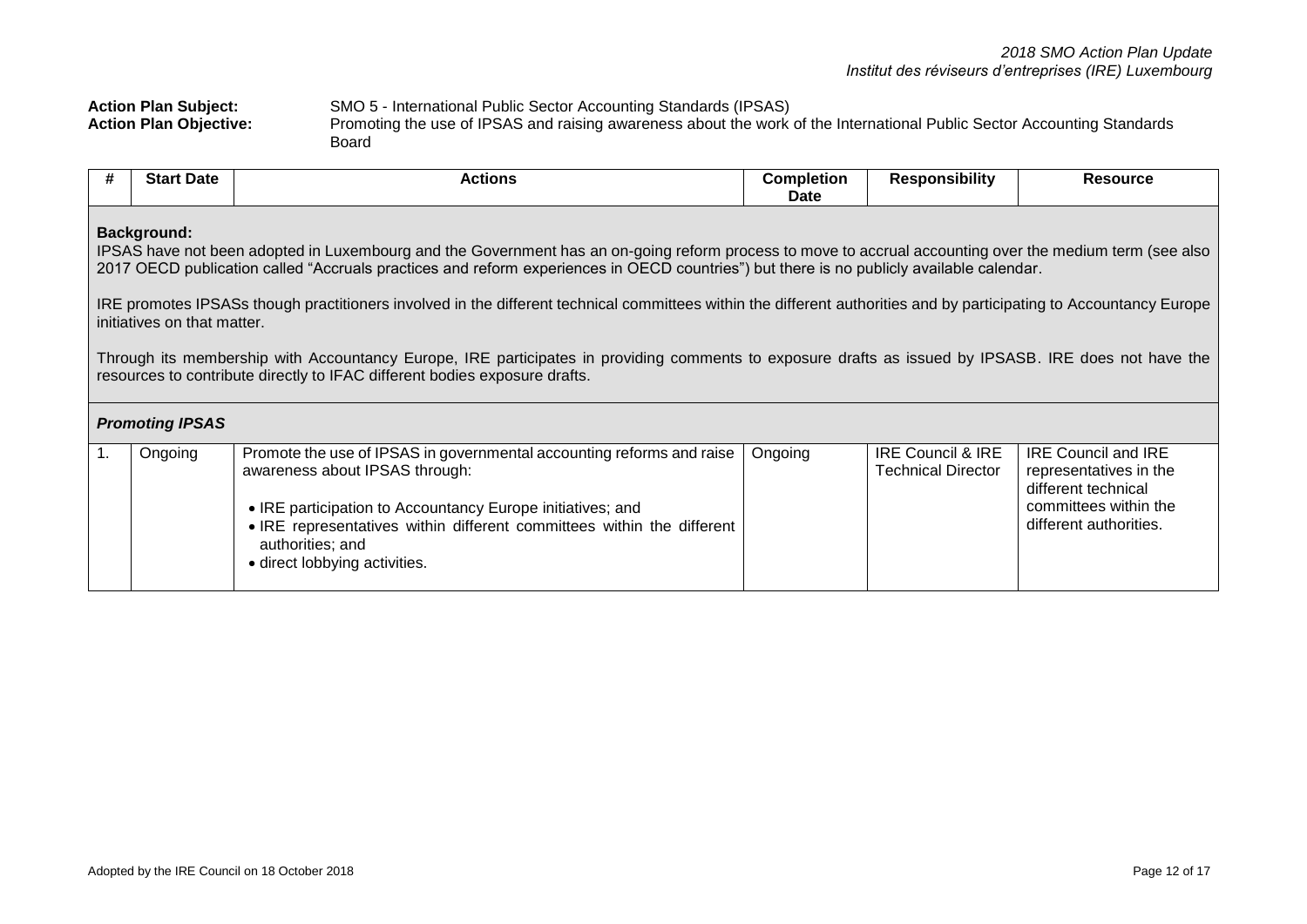| <b>Action Plan Subject:</b>   | SMO 5 - International Public Sector Accounting Standards (IPSAS)                                                        |
|-------------------------------|-------------------------------------------------------------------------------------------------------------------------|
| <b>Action Plan Objective:</b> | Promoting the use of IPSAS and raising awareness about the work of the International Public Sector Accounting Standards |
|                               | Board                                                                                                                   |

| #                                                                                                                                                                                                                                                                                                                                                                                                                                                                                                                                                                                                                                                                                                                                                                                                | <b>Start Date</b> | <b>Actions</b>                                                                                                                                                                                                                                                                                       | <b>Completion</b><br>Date | <b>Responsibility</b>                          | <b>Resource</b>                                                                                                                |  |
|--------------------------------------------------------------------------------------------------------------------------------------------------------------------------------------------------------------------------------------------------------------------------------------------------------------------------------------------------------------------------------------------------------------------------------------------------------------------------------------------------------------------------------------------------------------------------------------------------------------------------------------------------------------------------------------------------------------------------------------------------------------------------------------------------|-------------------|------------------------------------------------------------------------------------------------------------------------------------------------------------------------------------------------------------------------------------------------------------------------------------------------------|---------------------------|------------------------------------------------|--------------------------------------------------------------------------------------------------------------------------------|--|
| <b>Background:</b><br>IPSAS have not been adopted in Luxembourg and the Government has an on-going reform process to move to accrual accounting over the medium term (see also<br>2017 OECD publication called "Accruals practices and reform experiences in OECD countries") but there is no publicly available calendar.<br>IRE promotes IPSASs though practitioners involved in the different technical committees within the different authorities and by participating to Accountancy Europe<br>initiatives on that matter.<br>Through its membership with Accountancy Europe, IRE participates in providing comments to exposure drafts as issued by IPSASB. IRE does not have the<br>resources to contribute directly to IFAC different bodies exposure drafts.<br><b>Promoting IPSAS</b> |                   |                                                                                                                                                                                                                                                                                                      |                           |                                                |                                                                                                                                |  |
| 1.                                                                                                                                                                                                                                                                                                                                                                                                                                                                                                                                                                                                                                                                                                                                                                                               | Ongoing           | Promote the use of IPSAS in governmental accounting reforms and raise<br>awareness about IPSAS through:<br>• IRE participation to Accountancy Europe initiatives; and<br>. IRE representatives within different committees within the different<br>authorities; and<br>• direct lobbying activities. | Ongoing                   | IRE Council & IRE<br><b>Technical Director</b> | <b>IRE Council and IRE</b><br>representatives in the<br>different technical<br>committees within the<br>different authorities. |  |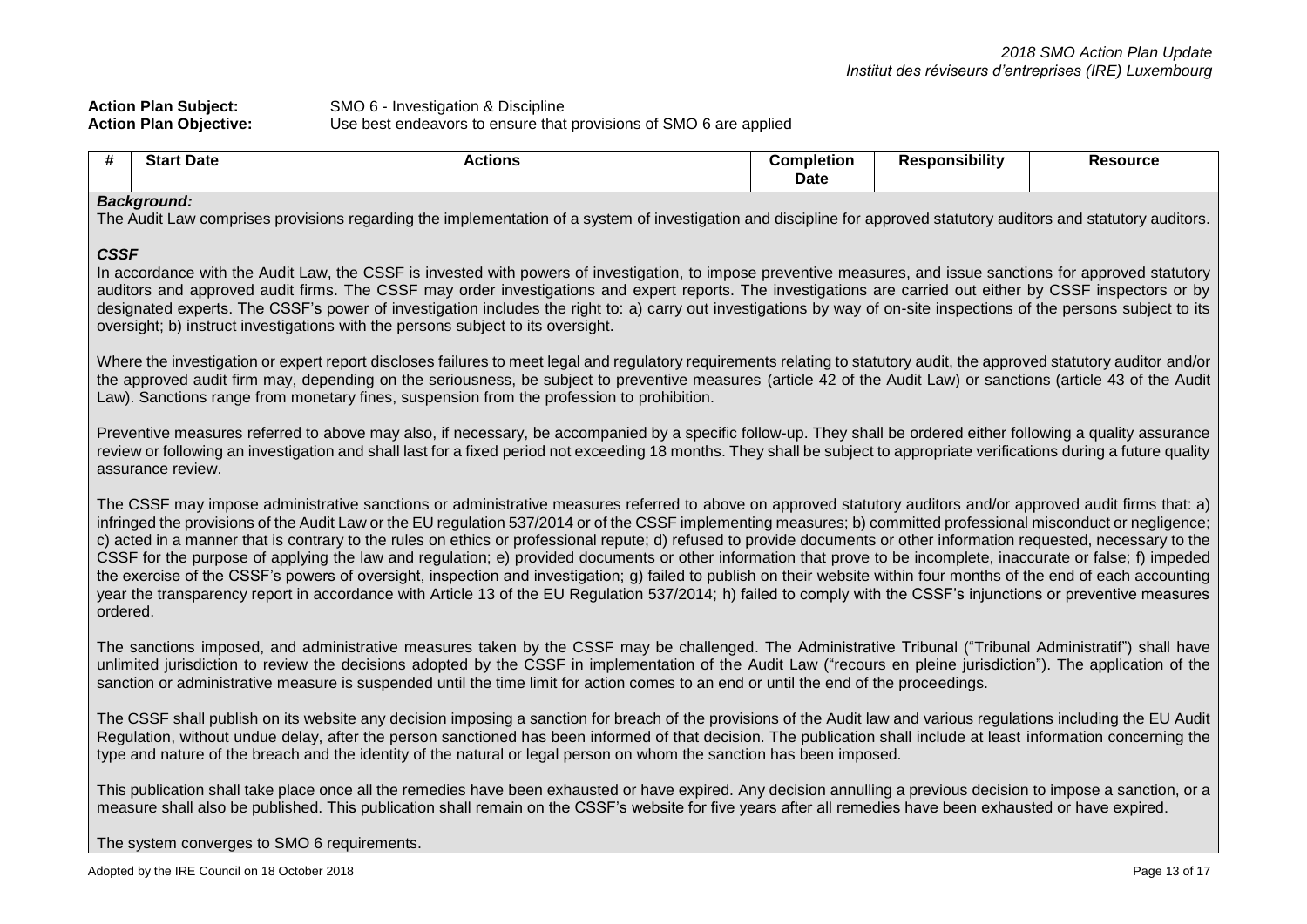| <b>Action Plan Subject:</b>   | SMO 6 - Investigation & Discipline                                |
|-------------------------------|-------------------------------------------------------------------|
| <b>Action Plan Objective:</b> | Use best endeavors to ensure that provisions of SMO 6 are applied |

| #                                                                                                                                                                                                                                                                                                                                                                                                                                                                                                                                                                                                                                                                                                                                                                                                                                                                                                                                                                                                                                       | <b>Start Date</b> | <b>Actions</b>                                                                                                                                                                                                                                                                                                                                                                                                                            | <b>Completion</b><br><b>Date</b> | <b>Responsibility</b> | <b>Resource</b> |
|-----------------------------------------------------------------------------------------------------------------------------------------------------------------------------------------------------------------------------------------------------------------------------------------------------------------------------------------------------------------------------------------------------------------------------------------------------------------------------------------------------------------------------------------------------------------------------------------------------------------------------------------------------------------------------------------------------------------------------------------------------------------------------------------------------------------------------------------------------------------------------------------------------------------------------------------------------------------------------------------------------------------------------------------|-------------------|-------------------------------------------------------------------------------------------------------------------------------------------------------------------------------------------------------------------------------------------------------------------------------------------------------------------------------------------------------------------------------------------------------------------------------------------|----------------------------------|-----------------------|-----------------|
| <b>Background:</b><br>The Audit Law comprises provisions regarding the implementation of a system of investigation and discipline for approved statutory auditors and statutory auditors.                                                                                                                                                                                                                                                                                                                                                                                                                                                                                                                                                                                                                                                                                                                                                                                                                                               |                   |                                                                                                                                                                                                                                                                                                                                                                                                                                           |                                  |                       |                 |
| <b>CSSF</b><br>In accordance with the Audit Law, the CSSF is invested with powers of investigation, to impose preventive measures, and issue sanctions for approved statutory<br>auditors and approved audit firms. The CSSF may order investigations and expert reports. The investigations are carried out either by CSSF inspectors or by<br>designated experts. The CSSF's power of investigation includes the right to: a) carry out investigations by way of on-site inspections of the persons subject to its<br>oversight; b) instruct investigations with the persons subject to its oversight.                                                                                                                                                                                                                                                                                                                                                                                                                                |                   |                                                                                                                                                                                                                                                                                                                                                                                                                                           |                                  |                       |                 |
|                                                                                                                                                                                                                                                                                                                                                                                                                                                                                                                                                                                                                                                                                                                                                                                                                                                                                                                                                                                                                                         |                   | Where the investigation or expert report discloses failures to meet legal and regulatory requirements relating to statutory audit, the approved statutory auditor and/or<br>the approved audit firm may, depending on the seriousness, be subject to preventive measures (article 42 of the Audit Law) or sanctions (article 43 of the Audit<br>Law). Sanctions range from monetary fines, suspension from the profession to prohibition. |                                  |                       |                 |
|                                                                                                                                                                                                                                                                                                                                                                                                                                                                                                                                                                                                                                                                                                                                                                                                                                                                                                                                                                                                                                         | assurance review. | Preventive measures referred to above may also, if necessary, be accompanied by a specific follow-up. They shall be ordered either following a quality assurance<br>review or following an investigation and shall last for a fixed period not exceeding 18 months. They shall be subject to appropriate verifications during a future quality                                                                                            |                                  |                       |                 |
| The CSSF may impose administrative sanctions or administrative measures referred to above on approved statutory auditors and/or approved audit firms that: a)<br>infringed the provisions of the Audit Law or the EU regulation 537/2014 or of the CSSF implementing measures; b) committed professional misconduct or negligence;<br>c) acted in a manner that is contrary to the rules on ethics or professional repute; d) refused to provide documents or other information requested, necessary to the<br>CSSF for the purpose of applying the law and regulation; e) provided documents or other information that prove to be incomplete, inaccurate or false; f) impeded<br>the exercise of the CSSF's powers of oversight, inspection and investigation; g) failed to publish on their website within four months of the end of each accounting<br>year the transparency report in accordance with Article 13 of the EU Regulation 537/2014; h) failed to comply with the CSSF's injunctions or preventive measures<br>ordered. |                   |                                                                                                                                                                                                                                                                                                                                                                                                                                           |                                  |                       |                 |
| The sanctions imposed, and administrative measures taken by the CSSF may be challenged. The Administrative Tribunal ("Tribunal Administratif") shall have<br>unlimited jurisdiction to review the decisions adopted by the CSSF in implementation of the Audit Law ("recours en pleine jurisdiction"). The application of the<br>sanction or administrative measure is suspended until the time limit for action comes to an end or until the end of the proceedings.                                                                                                                                                                                                                                                                                                                                                                                                                                                                                                                                                                   |                   |                                                                                                                                                                                                                                                                                                                                                                                                                                           |                                  |                       |                 |
| The CSSF shall publish on its website any decision imposing a sanction for breach of the provisions of the Audit law and various regulations including the EU Audit<br>Regulation, without undue delay, after the person sanctioned has been informed of that decision. The publication shall include at least information concerning the<br>type and nature of the breach and the identity of the natural or legal person on whom the sanction has been imposed.                                                                                                                                                                                                                                                                                                                                                                                                                                                                                                                                                                       |                   |                                                                                                                                                                                                                                                                                                                                                                                                                                           |                                  |                       |                 |
|                                                                                                                                                                                                                                                                                                                                                                                                                                                                                                                                                                                                                                                                                                                                                                                                                                                                                                                                                                                                                                         |                   | This publication shall take place once all the remedies have been exhausted or have expired. Any decision annulling a previous decision to impose a sanction, or a<br>measure shall also be published. This publication shall remain on the CSSF's website for five years after all remedies have been exhausted or have expired.                                                                                                         |                                  |                       |                 |
|                                                                                                                                                                                                                                                                                                                                                                                                                                                                                                                                                                                                                                                                                                                                                                                                                                                                                                                                                                                                                                         |                   | The system converges to SMO 6 requirements.                                                                                                                                                                                                                                                                                                                                                                                               |                                  |                       |                 |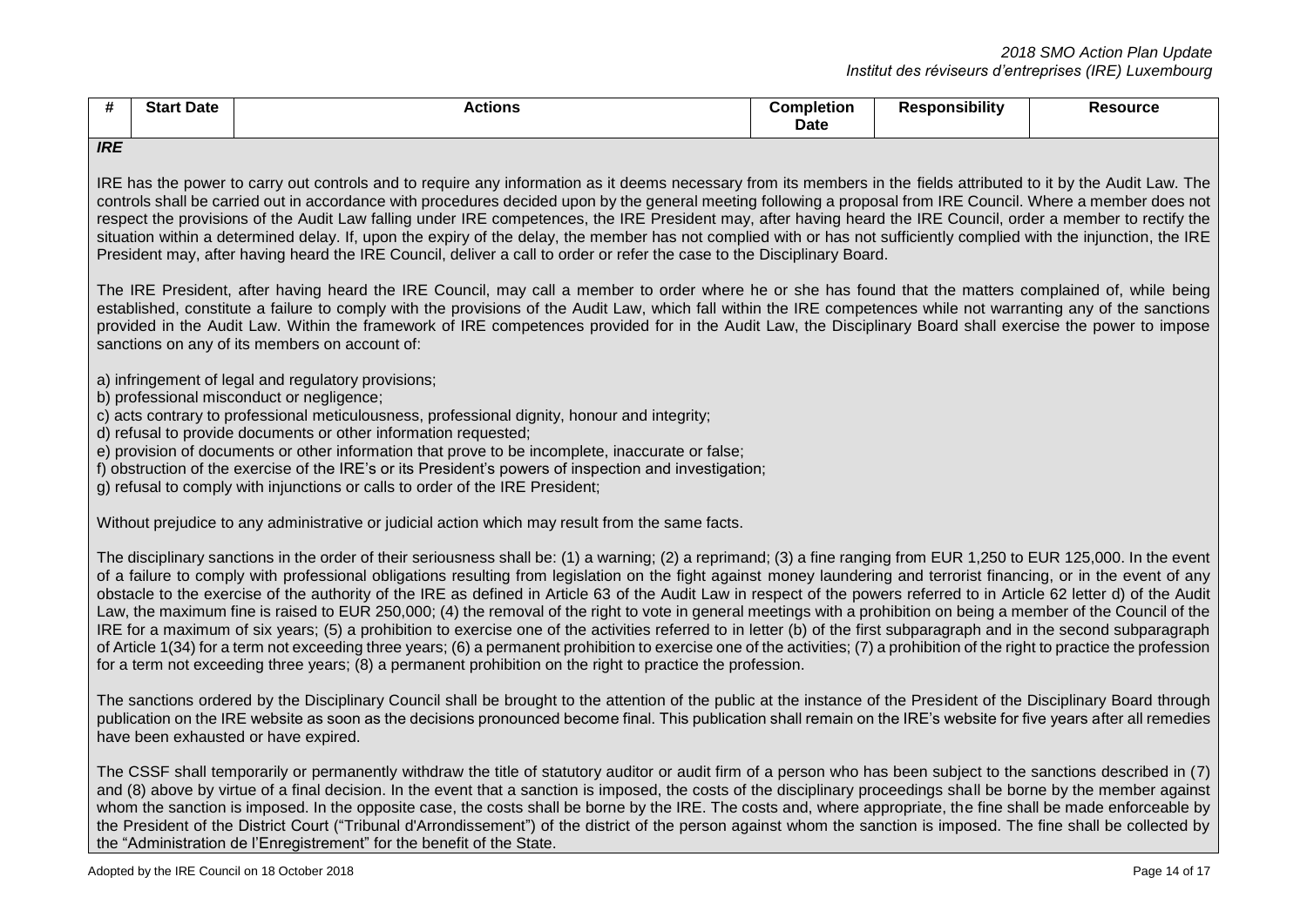|                          | Star              |
|--------------------------|-------------------|
|                          | Date              |
|                          | <b>Completion</b> |
|                          | Resource          |
| <b>Date</b>              | Actions           |
| $\overline{\phantom{a}}$ | sponsibilitv      |

#### *IRE*

IRE has the power to carry out controls and to require any information as it deems necessary from its members in the fields attributed to it by the Audit Law. The controls shall be carried out in accordance with procedures decided upon by the general meeting following a proposal from IRE Council. Where a member does not respect the provisions of the Audit Law falling under IRE competences, the IRE President may, after having heard the IRE Council, order a member to rectify the situation within a determined delay. If, upon the expiry of the delay, the member has not complied with or has not sufficiently complied with the injunction, the IRE President may, after having heard the IRE Council, deliver a call to order or refer the case to the Disciplinary Board.

The IRE President, after having heard the IRE Council, may call a member to order where he or she has found that the matters complained of, while being established, constitute a failure to comply with the provisions of the Audit Law, which fall within the IRE competences while not warranting any of the sanctions provided in the Audit Law. Within the framework of IRE competences provided for in the Audit Law, the Disciplinary Board shall exercise the power to impose sanctions on any of its members on account of:

a) infringement of legal and regulatory provisions;

- b) professional misconduct or negligence:
- c) acts contrary to professional meticulousness, professional dignity, honour and integrity;
- d) refusal to provide documents or other information requested;
- e) provision of documents or other information that prove to be incomplete, inaccurate or false;
- f) obstruction of the exercise of the IRE's or its President's powers of inspection and investigation;

g) refusal to comply with injunctions or calls to order of the IRE President;

Without prejudice to any administrative or judicial action which may result from the same facts.

The disciplinary sanctions in the order of their seriousness shall be: (1) a warning; (2) a reprimand; (3) a fine ranging from EUR 1,250 to EUR 125,000. In the event of a failure to comply with professional obligations resulting from legislation on the fight against money laundering and terrorist financing, or in the event of any obstacle to the exercise of the authority of the IRE as defined in Article 63 of the Audit Law in respect of the powers referred to in Article 62 letter d) of the Audit Law, the maximum fine is raised to EUR 250,000; (4) the removal of the right to vote in general meetings with a prohibition on being a member of the Council of the IRE for a maximum of six years; (5) a prohibition to exercise one of the activities referred to in letter (b) of the first subparagraph and in the second subparagraph of Article 1(34) for a term not exceeding three years; (6) a permanent prohibition to exercise one of the activities; (7) a prohibition of the right to practice the profession for a term not exceeding three years; (8) a permanent prohibition on the right to practice the profession.

The sanctions ordered by the Disciplinary Council shall be brought to the attention of the public at the instance of the President of the Disciplinary Board through publication on the IRE website as soon as the decisions pronounced become final. This publication shall remain on the IRE's website for five years after all remedies have been exhausted or have expired.

The CSSF shall temporarily or permanently withdraw the title of statutory auditor or audit firm of a person who has been subject to the sanctions described in (7) and (8) above by virtue of a final decision. In the event that a sanction is imposed, the costs of the disciplinary proceedings shall be borne by the member against whom the sanction is imposed. In the opposite case, the costs shall be borne by the IRE. The costs and, where appropriate, the fine shall be made enforceable by the President of the District Court ("Tribunal d'Arrondissement") of the district of the person against whom the sanction is imposed. The fine shall be collected by the "Administration de l'Enregistrement" for the benefit of the State.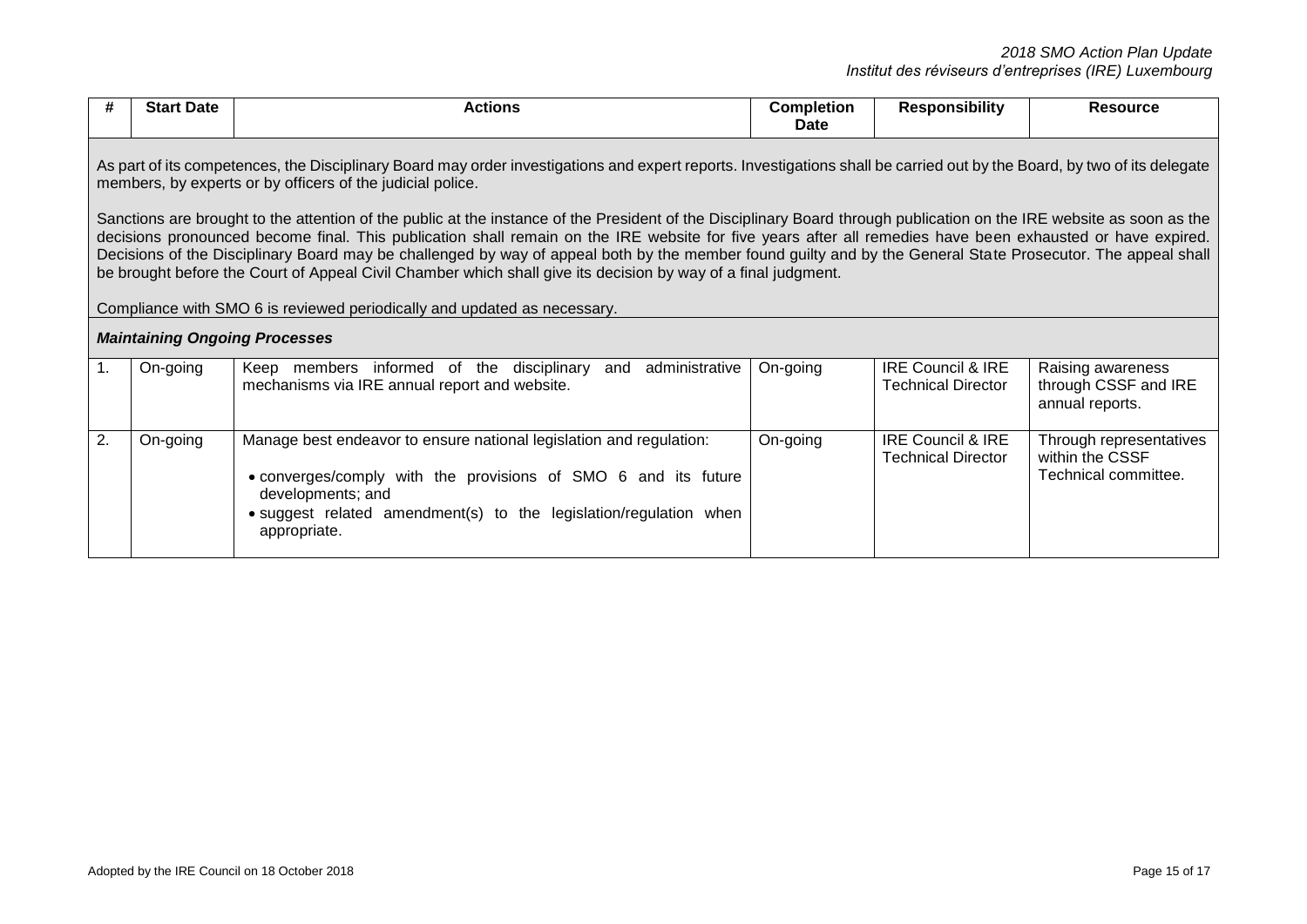|                                                                                                                                                                                                                                        | <b>Start Date</b>                                                                                                                                                                                                                                                                                                                                                                                                                                                                                                                                                                                                                                                                                | <b>Actions</b>                                                                                                                                                                                                                                  | <b>Completion</b><br>Date | <b>Responsibility</b>                                     | <b>Resource</b>                                                    |  |
|----------------------------------------------------------------------------------------------------------------------------------------------------------------------------------------------------------------------------------------|--------------------------------------------------------------------------------------------------------------------------------------------------------------------------------------------------------------------------------------------------------------------------------------------------------------------------------------------------------------------------------------------------------------------------------------------------------------------------------------------------------------------------------------------------------------------------------------------------------------------------------------------------------------------------------------------------|-------------------------------------------------------------------------------------------------------------------------------------------------------------------------------------------------------------------------------------------------|---------------------------|-----------------------------------------------------------|--------------------------------------------------------------------|--|
| As part of its competences, the Disciplinary Board may order investigations and expert reports. Investigations shall be carried out by the Board, by two of its delegate<br>members, by experts or by officers of the judicial police. |                                                                                                                                                                                                                                                                                                                                                                                                                                                                                                                                                                                                                                                                                                  |                                                                                                                                                                                                                                                 |                           |                                                           |                                                                    |  |
|                                                                                                                                                                                                                                        | Sanctions are brought to the attention of the public at the instance of the President of the Disciplinary Board through publication on the IRE website as soon as the<br>decisions pronounced become final. This publication shall remain on the IRE website for five years after all remedies have been exhausted or have expired.<br>Decisions of the Disciplinary Board may be challenged by way of appeal both by the member found guilty and by the General State Prosecutor. The appeal shall<br>be brought before the Court of Appeal Civil Chamber which shall give its decision by way of a final judgment.<br>Compliance with SMO 6 is reviewed periodically and updated as necessary. |                                                                                                                                                                                                                                                 |                           |                                                           |                                                                    |  |
|                                                                                                                                                                                                                                        | <b>Maintaining Ongoing Processes</b>                                                                                                                                                                                                                                                                                                                                                                                                                                                                                                                                                                                                                                                             |                                                                                                                                                                                                                                                 |                           |                                                           |                                                                    |  |
| $\mathbf{1}$ .                                                                                                                                                                                                                         | On-going                                                                                                                                                                                                                                                                                                                                                                                                                                                                                                                                                                                                                                                                                         | administrative<br>Keep members informed of the disciplinary and<br>mechanisms via IRE annual report and website.                                                                                                                                | On-going                  | <b>IRE Council &amp; IRE</b><br><b>Technical Director</b> | Raising awareness<br>through CSSF and IRE<br>annual reports.       |  |
| 2.                                                                                                                                                                                                                                     | On-going                                                                                                                                                                                                                                                                                                                                                                                                                                                                                                                                                                                                                                                                                         | Manage best endeavor to ensure national legislation and regulation:<br>• converges/comply with the provisions of SMO 6 and its future<br>developments; and<br>• suggest related amendment(s) to the legislation/regulation when<br>appropriate. | On-going                  | <b>IRE Council &amp; IRE</b><br><b>Technical Director</b> | Through representatives<br>within the CSSF<br>Technical committee. |  |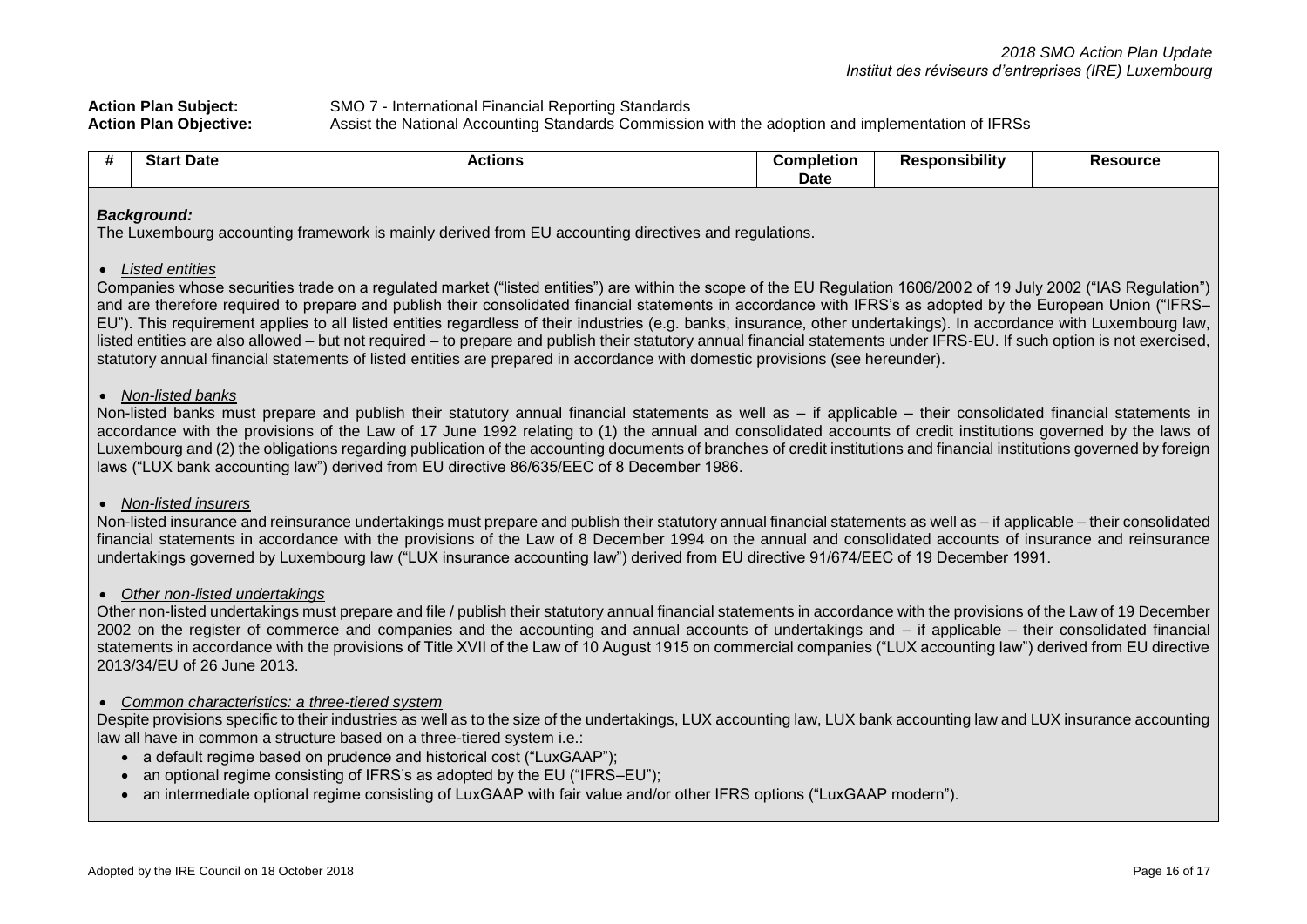| <b>Action Plan Subject:</b>   | SMO 7 - International Financial Reporting Standards                                               |
|-------------------------------|---------------------------------------------------------------------------------------------------|
| <b>Action Plan Objective:</b> | Assist the National Accounting Standards Commission with the adoption and implementation of IFRSs |

| Date<br>יי | ACUONS | Completion | <br>onsibiliti | JUI Gt |
|------------|--------|------------|----------------|--------|
|            |        | Date       |                |        |

### *Background:*

The Luxembourg accounting framework is mainly derived from EU accounting directives and regulations.

### *Listed entities*

Companies whose securities trade on a regulated market ("listed entities") are within the scope of the EU Regulation 1606/2002 of 19 July 2002 ("IAS Regulation") and are therefore required to prepare and publish their consolidated financial statements in accordance with IFRS's as adopted by the European Union ("IFRS– EU"). This requirement applies to all listed entities regardless of their industries (e.g. banks, insurance, other undertakings). In accordance with Luxembourg law, listed entities are also allowed – but not required – to prepare and publish their statutory annual financial statements under IFRS-EU. If such option is not exercised, statutory annual financial statements of listed entities are prepared in accordance with domestic provisions (see hereunder).

### *Non-listed banks*

Non-listed banks must prepare and publish their statutory annual financial statements as well as – if applicable – their consolidated financial statements in accordance with the provisions of the Law of 17 June 1992 relating to (1) the annual and consolidated accounts of credit institutions governed by the laws of Luxembourg and (2) the obligations regarding publication of the accounting documents of branches of credit institutions and financial institutions governed by foreign laws ("LUX bank accounting law") derived from EU directive 86/635/EEC of 8 December 1986.

### *Non-listed insurers*

Non-listed insurance and reinsurance undertakings must prepare and publish their statutory annual financial statements as well as – if applicable – their consolidated financial statements in accordance with the provisions of the Law of 8 December 1994 on the annual and consolidated accounts of insurance and reinsurance undertakings governed by Luxembourg law ("LUX insurance accounting law") derived from EU directive 91/674/EEC of 19 December 1991.

# *Other non-listed undertakings*

Other non-listed undertakings must prepare and file / publish their statutory annual financial statements in accordance with the provisions of the Law of 19 December 2002 on the register of commerce and companies and the accounting and annual accounts of undertakings and – if applicable – their consolidated financial statements in accordance with the provisions of Title XVII of the Law of 10 August 1915 on commercial companies ("LUX accounting law") derived from EU directive 2013/34/EU of 26 June 2013.

# *Common characteristics: a three-tiered system*

Despite provisions specific to their industries as well as to the size of the undertakings, LUX accounting law, LUX bank accounting law and LUX insurance accounting law all have in common a structure based on a three-tiered system i.e.:

- a default regime based on prudence and historical cost ("LuxGAAP");
- an optional regime consisting of IFRS's as adopted by the EU ("IFRS–EU"):
- an intermediate optional regime consisting of LuxGAAP with fair value and/or other IFRS options ("LuxGAAP modern").